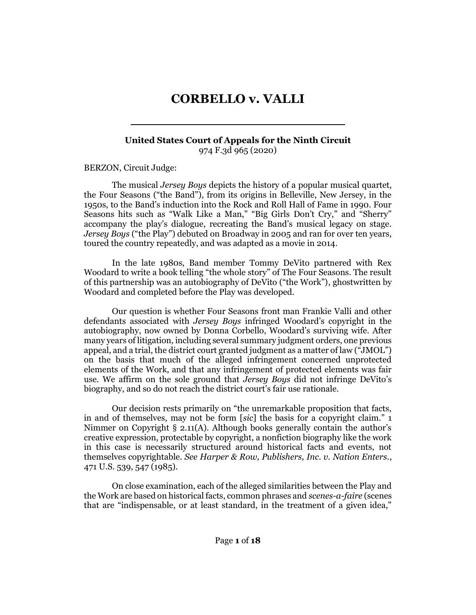# **CORBELLO v. VALLI**

**\_\_\_\_\_\_\_\_\_\_\_\_\_\_\_\_\_\_\_\_\_\_\_\_\_\_\_\_**

#### **United States Court of Appeals for the Ninth Circuit** 974 F.3d 965 (2020)

[BERZON,](http://www.westlaw.com/Link/Document/FullText?findType=h&pubNum=176284&cite=0204838401&originatingDoc=I2c42fac0f21a11eab42af6b6d1e1d7cf&refType=RQ&originationContext=document&vr=3.0&rs=cblt1.0&transitionType=DocumentItem&contextData=(sc.Search)) Circuit Judge:

The musical *Jersey Boys* depicts the history of a popular musical quartet, the Four Seasons ("the Band"), from its origins in Belleville, New Jersey, in the 1950s, to the Band's induction into the Rock and Roll Hall of Fame in 1990. Four Seasons hits such as "Walk Like a Man," "Big Girls Don't Cry," and "Sherry" accompany the play's dialogue, recreating the Band's musical legacy on stage. *Jersey Boys* ("the Play") debuted on Broadway in 2005 and ran for over ten years, toured the country repeatedly, and was adapted as a movie in 2014.

In the late 1980s, Band member Tommy DeVito partnered with Rex Woodard to write a book telling "the whole story" of The Four Seasons. The result of this partnership was an autobiography of DeVito ("the Work"), ghostwritten by Woodard and completed before the Play was developed.

Our question is whether Four Seasons front man Frankie Valli and other defendants associated with *Jersey Boys* infringed Woodard's copyright in the autobiography, now owned by Donna Corbello, Woodard's surviving wife. After many years of litigation, including several summary judgment orders, one previous appeal, and a trial, the district court granted judgment as a matter of law ("JMOL") on the basis that much of the alleged infringement concerned unprotected elements of the Work, and that any infringement of protected elements was fair use. We affirm on the sole ground that *Jersey Boys* did not infringe DeVito's biography, and so do not reach the district court's fair use rationale.

Our decision rests primarily on "the unremarkable proposition that facts, in and of themselves, may not be form [*sic*] the basis for a copyright claim." 1 Nimmer on Copyright § 2.11(A). Although books generally contain the author's creative expression, protectable by copyright, a nonfiction biography like the work in this case is necessarily structured around historical facts and events, not themselves copyrightable. *See [Harper & Row, Publishers, Inc. v. Nation Enters.](http://www.westlaw.com/Link/Document/FullText?findType=Y&serNum=1985125844&pubNum=0000780&originatingDoc=I2c42fac0f21a11eab42af6b6d1e1d7cf&refType=RP&fi=co_pp_sp_780_547&originationContext=document&vr=3.0&rs=cblt1.0&transitionType=DocumentItem&contextData=(sc.Search)#co_pp_sp_780_547)*, [471 U.S. 539, 547](http://www.westlaw.com/Link/Document/FullText?findType=Y&serNum=1985125844&pubNum=0000780&originatingDoc=I2c42fac0f21a11eab42af6b6d1e1d7cf&refType=RP&fi=co_pp_sp_780_547&originationContext=document&vr=3.0&rs=cblt1.0&transitionType=DocumentItem&contextData=(sc.Search)#co_pp_sp_780_547) (1985).

On close examination, each of the alleged similarities between the Play and the Work are based on historical facts, common phrases and *scenes-a-faire* (scenes that are "indispensable, or at least standard, in the treatment of a given idea,"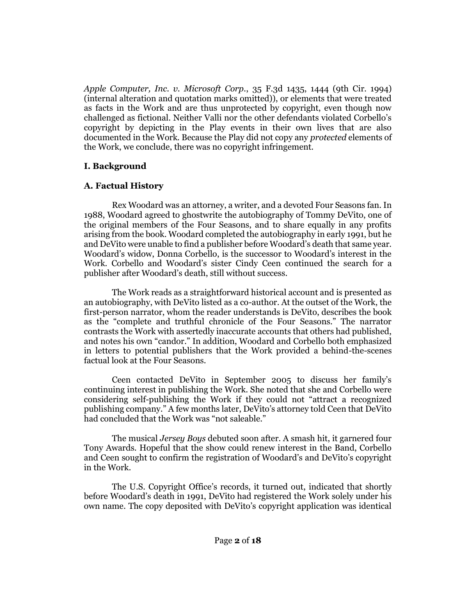*[Apple Computer, Inc. v. Microsoft Corp.](http://www.westlaw.com/Link/Document/FullText?findType=Y&serNum=1994188702&pubNum=0000506&originatingDoc=I2c42fac0f21a11eab42af6b6d1e1d7cf&refType=RP&fi=co_pp_sp_506_1444&originationContext=document&vr=3.0&rs=cblt1.0&transitionType=DocumentItem&contextData=(sc.Search)#co_pp_sp_506_1444)*, 35 F.3d 1435, 1444 (9th Cir. 1994) (internal alteration and quotation marks omitted)), or elements that were treated as facts in the Work and are thus unprotected by copyright, even though now challenged as fictional. Neither Valli nor the other defendants violated Corbello's copyright by depicting in the Play events in their own lives that are also documented in the Work. Because the Play did not copy any *protected* elements of the Work, we conclude, there was no copyright infringement.

## **I. Background**

## **A. Factual History**

Rex Woodard was an attorney, a writer, and a devoted Four Seasons fan. In 1988, Woodard agreed to ghostwrite the autobiography of Tommy DeVito, one of the original members of the Four Seasons, and to share equally in any profits arising from the book. Woodard completed the autobiography in early 1991, but he and DeVito were unable to find a publisher before Woodard's death that same year. Woodard's widow, Donna Corbello, is the successor to Woodard's interest in the Work. Corbello and Woodard's sister Cindy Ceen continued the search for a publisher after Woodard's death, still without success.

The Work reads as a straightforward historical account and is presented as an autobiography, with DeVito listed as a co-author. At the outset of the Work, the first-person narrator, whom the reader understands is DeVito, describes the book as the "complete and truthful chronicle of the Four Seasons." The narrator contrasts the Work with assertedly inaccurate accounts that others had published, and notes his own "candor." In addition, Woodard and Corbello both emphasized in letters to potential publishers that the Work provided a behind-the-scenes factual look at the Four Seasons.

Ceen contacted DeVito in September 2005 to discuss her family's continuing interest in publishing the Work. She noted that she and Corbello were considering self-publishing the Work if they could not "attract a recognized publishing company." A few months later, DeVito's attorney told Ceen that DeVito had concluded that the Work was "not saleable."

The musical *Jersey Boys* debuted soon after. A smash hit, it garnered four Tony Awards. Hopeful that the show could renew interest in the Band, Corbello and Ceen sought to confirm the registration of Woodard's and DeVito's copyright in the Work.

The U.S. Copyright Office's records, it turned out, indicated that shortly before Woodard's death in 1991, DeVito had registered the Work solely under his own name. The copy deposited with DeVito's copyright application was identical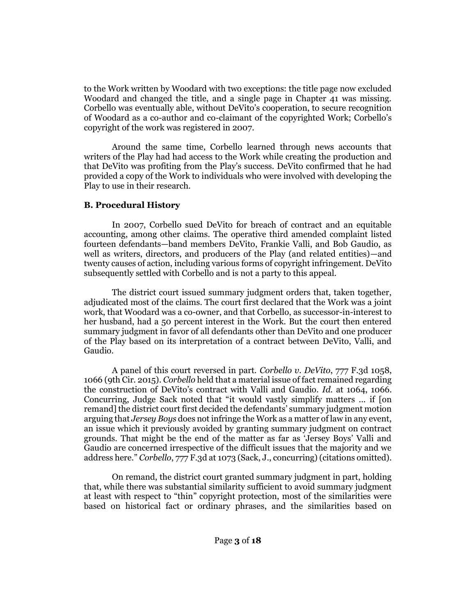to the Work written by Woodard with two exceptions: the title page now excluded Woodard and changed the title, and a single page in Chapter 41 was missing. Corbello was eventually able, without DeVito's cooperation, to secure recognition of Woodard as a co-author and co-claimant of the copyrighted Work; Corbello's copyright of the work was registered in 2007.

Around the same time, Corbello learned through news accounts that writers of the Play had had access to the Work while creating the production and that DeVito was profiting from the Play's success. DeVito confirmed that he had provided a copy of the Work to individuals who were involved with developing the Play to use in their research.

## **B. Procedural History**

In 2007, Corbello sued DeVito for breach of contract and an equitable accounting, among other claims. The operative third amended complaint listed fourteen defendants—band members DeVito, Frankie Valli, and Bob Gaudio, as well as writers, directors, and producers of the Play (and related entities)—and twenty causes of action, including various forms of copyright infringement. DeVito subsequently settled with Corbello and is not a party to this appeal.

The district court issued summary judgment orders that, taken together, adjudicated most of the claims. The court first declared that the Work was a joint work, that Woodard was a co-owner, and that Corbello, as successor-in-interest to her husband, had a 50 percent interest in the Work. But the court then entered summary judgment in favor of all defendants other than DeVito and one producer of the Play based on its interpretation of a contract between DeVito, Valli, and Gaudio.

A panel of this court reversed in part. *[Corbello v. DeVito](http://www.westlaw.com/Link/Document/FullText?findType=Y&serNum=2035422333&pubNum=0000506&originatingDoc=I2c42fac0f21a11eab42af6b6d1e1d7cf&refType=RP&fi=co_pp_sp_506_1066&originationContext=document&vr=3.0&rs=cblt1.0&transitionType=DocumentItem&contextData=(sc.Search)#co_pp_sp_506_1066)*, 777 F.3d 1058, [1066 \(9th Cir. 2015\).](http://www.westlaw.com/Link/Document/FullText?findType=Y&serNum=2035422333&pubNum=0000506&originatingDoc=I2c42fac0f21a11eab42af6b6d1e1d7cf&refType=RP&fi=co_pp_sp_506_1066&originationContext=document&vr=3.0&rs=cblt1.0&transitionType=DocumentItem&contextData=(sc.Search)#co_pp_sp_506_1066) *[Corbello](http://www.westlaw.com/Link/Document/FullText?findType=Y&serNum=2035422333&pubNum=0000506&originatingDoc=I2c42fac0f21a11eab42af6b6d1e1d7cf&refType=RP&originationContext=document&vr=3.0&rs=cblt1.0&transitionType=DocumentItem&contextData=(sc.Search))* held that a material issue of fact remained regarding the construction of DeVito's contract with Valli and Gaudio. *Id.* [at 1064, 1066.](http://www.westlaw.com/Link/Document/FullText?findType=Y&serNum=2035422333&pubNum=0000506&originatingDoc=I2c42fac0f21a11eab42af6b6d1e1d7cf&refType=RP&fi=co_pp_sp_506_1064&originationContext=document&vr=3.0&rs=cblt1.0&transitionType=DocumentItem&contextData=(sc.Search)#co_pp_sp_506_1064) Concurring, Judge Sack noted that "it would vastly simplify matters ... if [on remand] the district court first decided the defendants' summary judgment motion arguing that *Jersey Boys* does not infringe the Work as a matter of law in any event, an issue which it previously avoided by granting summary judgment on contract grounds. That might be the end of the matter as far as 'Jersey Boys' Valli and Gaudio are concerned irrespective of the difficult issues that the majority and we address here." *Corbello*[, 777 F.3d at 1073](http://www.westlaw.com/Link/Document/FullText?findType=Y&serNum=2035422333&pubNum=0000506&originatingDoc=I2c42fac0f21a11eab42af6b6d1e1d7cf&refType=RP&fi=co_pp_sp_506_1073&originationContext=document&vr=3.0&rs=cblt1.0&transitionType=DocumentItem&contextData=(sc.Search)#co_pp_sp_506_1073) (Sack, J., concurring) (citations omitted).

On remand, the district court granted summary judgment in part, holding that, while there was substantial similarity sufficient to avoid summary judgment at least with respect to "thin" copyright protection, most of the similarities were based on historical fact or ordinary phrases, and the similarities based on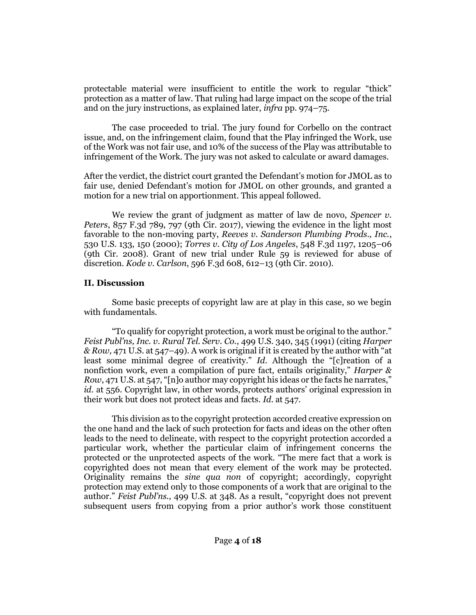protectable material were insufficient to entitle the work to regular "thick" protection as a matter of law. That ruling had large impact on the scope of the trial and on the jury instructions, as explained later, *infra* pp. 974–75.

The case proceeded to trial. The jury found for Corbello on the contract issue, and, on the infringement claim, found that the Play infringed the Work, use of the Work was not fair use, and 10% of the success of the Play was attributable to infringement of the Work. The jury was not asked to calculate or award damages.

After the verdict, the district court granted the Defendant's motion for JMOL as to fair use, denied Defendant's motion for JMOL on other grounds, and granted a motion for a new trial on apportionment. This appeal followed.

We review the grant of judgment as matter of law de novo, *[Spencer v.](http://www.westlaw.com/Link/Document/FullText?findType=Y&serNum=2041678701&pubNum=0000506&originatingDoc=I2c42fac0f21a11eab42af6b6d1e1d7cf&refType=RP&fi=co_pp_sp_506_797&originationContext=document&vr=3.0&rs=cblt1.0&transitionType=DocumentItem&contextData=(sc.Search)#co_pp_sp_506_797)  Peters*[, 857 F.3d 789, 797 \(9th Cir. 2017\),](http://www.westlaw.com/Link/Document/FullText?findType=Y&serNum=2041678701&pubNum=0000506&originatingDoc=I2c42fac0f21a11eab42af6b6d1e1d7cf&refType=RP&fi=co_pp_sp_506_797&originationContext=document&vr=3.0&rs=cblt1.0&transitionType=DocumentItem&contextData=(sc.Search)#co_pp_sp_506_797) viewing the evidence in the light most favorable to the non-moving party, *[Reeves v. Sanderson Plumbing Prods., Inc.](http://www.westlaw.com/Link/Document/FullText?findType=Y&serNum=2000377873&pubNum=0000780&originatingDoc=I2c42fac0f21a11eab42af6b6d1e1d7cf&refType=RP&fi=co_pp_sp_780_150&originationContext=document&vr=3.0&rs=cblt1.0&transitionType=DocumentItem&contextData=(sc.Search)#co_pp_sp_780_150)*, [530 U.S. 133, 150](http://www.westlaw.com/Link/Document/FullText?findType=Y&serNum=2000377873&pubNum=0000780&originatingDoc=I2c42fac0f21a11eab42af6b6d1e1d7cf&refType=RP&fi=co_pp_sp_780_150&originationContext=document&vr=3.0&rs=cblt1.0&transitionType=DocumentItem&contextData=(sc.Search)#co_pp_sp_780_150) (2000); *[Torres v. City of Los Angeles](http://www.westlaw.com/Link/Document/FullText?findType=Y&serNum=2017444083&pubNum=0000506&originatingDoc=I2c42fac0f21a11eab42af6b6d1e1d7cf&refType=RP&fi=co_pp_sp_506_1205&originationContext=document&vr=3.0&rs=cblt1.0&transitionType=DocumentItem&contextData=(sc.Search)#co_pp_sp_506_1205)*, 548 F.3d 1197, 1205–06 [\(9th Cir. 2008\).](http://www.westlaw.com/Link/Document/FullText?findType=Y&serNum=2017444083&pubNum=0000506&originatingDoc=I2c42fac0f21a11eab42af6b6d1e1d7cf&refType=RP&fi=co_pp_sp_506_1205&originationContext=document&vr=3.0&rs=cblt1.0&transitionType=DocumentItem&contextData=(sc.Search)#co_pp_sp_506_1205) Grant of new trial under Rule 59 is reviewed for abuse of discretion. *Kode v. Carlson*[, 596 F.3d 608, 612](http://www.westlaw.com/Link/Document/FullText?findType=Y&serNum=2021420709&pubNum=0000506&originatingDoc=I2c42fac0f21a11eab42af6b6d1e1d7cf&refType=RP&fi=co_pp_sp_506_612&originationContext=document&vr=3.0&rs=cblt1.0&transitionType=DocumentItem&contextData=(sc.Search)#co_pp_sp_506_612)–13 (9th Cir. 2010).

## **II. Discussion**

Some basic precepts of copyright law are at play in this case, so we begin with fundamentals.

"To qualify for copyright protection, a work must be original to the author." *[Feist Publ'ns, Inc. v. Rural Tel. Serv. Co.](http://www.westlaw.com/Link/Document/FullText?findType=Y&serNum=1991060551&pubNum=0000780&originatingDoc=I2c42fac0f21a11eab42af6b6d1e1d7cf&refType=RP&fi=co_pp_sp_780_345&originationContext=document&vr=3.0&rs=cblt1.0&transitionType=DocumentItem&contextData=(sc.Search)#co_pp_sp_780_345)*, 499 U.S. 340, 345 (1991) (citing *[Harper](http://www.westlaw.com/Link/Document/FullText?findType=Y&serNum=1985125844&pubNum=0000780&originatingDoc=I2c42fac0f21a11eab42af6b6d1e1d7cf&refType=RP&fi=co_pp_sp_780_547&originationContext=document&vr=3.0&rs=cblt1.0&transitionType=DocumentItem&contextData=(sc.Search)#co_pp_sp_780_547)  & Row,* [471 U.S. at 547](http://www.westlaw.com/Link/Document/FullText?findType=Y&serNum=1985125844&pubNum=0000780&originatingDoc=I2c42fac0f21a11eab42af6b6d1e1d7cf&refType=RP&fi=co_pp_sp_780_547&originationContext=document&vr=3.0&rs=cblt1.0&transitionType=DocumentItem&contextData=(sc.Search)#co_pp_sp_780_547)–49). A work is original if it is created by the author with "at least some minimal degree of creativity." *[Id.](http://www.westlaw.com/Link/Document/FullText?findType=Y&serNum=1991060551&pubNum=0000780&originatingDoc=I2c42fac0f21a11eab42af6b6d1e1d7cf&refType=RP&originationContext=document&vr=3.0&rs=cblt1.0&transitionType=DocumentItem&contextData=(sc.Search))* Although the "[c]reation of a nonfiction work, even a compilation of pure fact, entails originality," *[Harper &](http://www.westlaw.com/Link/Document/FullText?findType=Y&serNum=1985125844&pubNum=0000780&originatingDoc=I2c42fac0f21a11eab42af6b6d1e1d7cf&refType=RP&fi=co_pp_sp_780_547&originationContext=document&vr=3.0&rs=cblt1.0&transitionType=DocumentItem&contextData=(sc.Search)#co_pp_sp_780_547)  Row*[, 471 U.S. at 547](http://www.westlaw.com/Link/Document/FullText?findType=Y&serNum=1985125844&pubNum=0000780&originatingDoc=I2c42fac0f21a11eab42af6b6d1e1d7cf&refType=RP&fi=co_pp_sp_780_547&originationContext=document&vr=3.0&rs=cblt1.0&transitionType=DocumentItem&contextData=(sc.Search)#co_pp_sp_780_547), "[n]o author may copyright his ideas or the facts he narrates," *id.* [at 556](http://www.westlaw.com/Link/Document/FullText?findType=Y&serNum=1985125844&pubNum=0000708&originatingDoc=I2c42fac0f21a11eab42af6b6d1e1d7cf&refType=RP&originationContext=document&vr=3.0&rs=cblt1.0&transitionType=DocumentItem&contextData=(sc.Search)). Copyright law, in other words, protects authors' original expression in their work but does not protect ideas and facts. *Id*[. at 547.](http://www.westlaw.com/Link/Document/FullText?findType=Y&serNum=1985125844&pubNum=0000708&originatingDoc=I2c42fac0f21a11eab42af6b6d1e1d7cf&refType=RP&originationContext=document&vr=3.0&rs=cblt1.0&transitionType=DocumentItem&contextData=(sc.Search))

This division as to the copyright protection accorded creative expression on the one hand and the lack of such protection for facts and ideas on the other often leads to the need to delineate, with respect to the copyright protection accorded a particular work, whether the particular claim of infringement concerns the protected or the unprotected aspects of the work. "The mere fact that a work is copyrighted does not mean that every element of the work may be protected. Originality remains the *sine qua non* of copyright; accordingly, copyright protection may extend only to those components of a work that are original to the author." *Feist Publ'ns.*[, 499 U.S. at 348](http://www.westlaw.com/Link/Document/FullText?findType=Y&serNum=1991060551&pubNum=0000780&originatingDoc=I2c42fac0f21a11eab42af6b6d1e1d7cf&refType=RP&fi=co_pp_sp_780_348&originationContext=document&vr=3.0&rs=cblt1.0&transitionType=DocumentItem&contextData=(sc.Search)#co_pp_sp_780_348). As a result, "copyright does not prevent subsequent users from copying from a prior author's work those constituent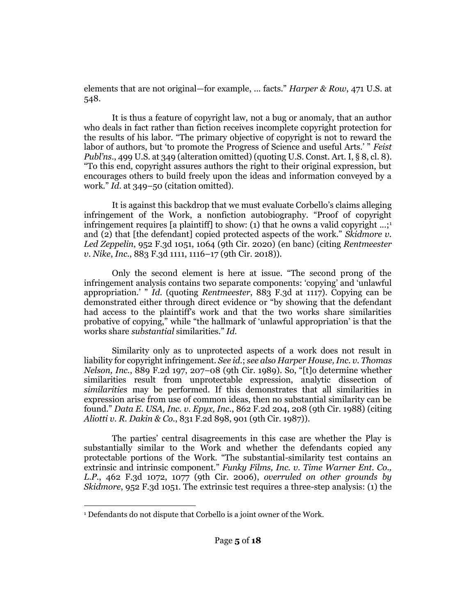elements that are not original—for example, ... facts." *[Harper & Row](http://www.westlaw.com/Link/Document/FullText?findType=Y&serNum=1985125844&pubNum=0000780&originatingDoc=I2c42fac0f21a11eab42af6b6d1e1d7cf&refType=RP&fi=co_pp_sp_780_548&originationContext=document&vr=3.0&rs=cblt1.0&transitionType=DocumentItem&contextData=(sc.Search)#co_pp_sp_780_548)*, 471 U.S. at [548.](http://www.westlaw.com/Link/Document/FullText?findType=Y&serNum=1985125844&pubNum=0000780&originatingDoc=I2c42fac0f21a11eab42af6b6d1e1d7cf&refType=RP&fi=co_pp_sp_780_548&originationContext=document&vr=3.0&rs=cblt1.0&transitionType=DocumentItem&contextData=(sc.Search)#co_pp_sp_780_548)

It is thus a feature of copyright law, not a bug or anomaly, that an author who deals in fact rather than fiction receives incomplete copyright protection for the results of his labor. "The primary objective of copyright is not to reward the labor of authors, but 'to promote the Progress of Science and useful Arts.' " *[Feist](http://www.westlaw.com/Link/Document/FullText?findType=Y&serNum=1991060551&pubNum=0000780&originatingDoc=I2c42fac0f21a11eab42af6b6d1e1d7cf&refType=RP&fi=co_pp_sp_780_349&originationContext=document&vr=3.0&rs=cblt1.0&transitionType=DocumentItem&contextData=(sc.Search)#co_pp_sp_780_349)  Publ'ns.*[, 499 U.S. at 349](http://www.westlaw.com/Link/Document/FullText?findType=Y&serNum=1991060551&pubNum=0000780&originatingDoc=I2c42fac0f21a11eab42af6b6d1e1d7cf&refType=RP&fi=co_pp_sp_780_349&originationContext=document&vr=3.0&rs=cblt1.0&transitionType=DocumentItem&contextData=(sc.Search)#co_pp_sp_780_349) (alteration omitted) (quotin[g U.S. Const. Art. I, § 8, cl. 8\)](http://www.westlaw.com/Link/Document/FullText?findType=L&pubNum=1000583&cite=USCOARTIS8CL8&originatingDoc=I2c42fac0f21a11eab42af6b6d1e1d7cf&refType=LQ&originationContext=document&vr=3.0&rs=cblt1.0&transitionType=DocumentItem&contextData=(sc.Search)). "To this end, copyright assures authors the right to their original expression, but encourages others to build freely upon the ideas and information conveyed by a work." *Id*[. at 349](http://www.westlaw.com/Link/Document/FullText?findType=Y&serNum=1991060551&pubNum=0000708&originatingDoc=I2c42fac0f21a11eab42af6b6d1e1d7cf&refType=RP&originationContext=document&vr=3.0&rs=cblt1.0&transitionType=DocumentItem&contextData=(sc.Search))–50 (citation omitted).

It is against this backdrop that we must evaluate Corbello's claims alleging infringement of the Work, a nonfiction autobiography. "Proof of copyright infringement requires [a plaintiff] to show: (1) that he owns a valid copyright  $\ldots$ ;<sup>1</sup> and (2) that [the defendant] copied protected aspects of the work." *[Skidmore v.](http://www.westlaw.com/Link/Document/FullText?findType=Y&serNum=2050528829&pubNum=0000506&originatingDoc=I2c42fac0f21a11eab42af6b6d1e1d7cf&refType=RP&fi=co_pp_sp_506_1064&originationContext=document&vr=3.0&rs=cblt1.0&transitionType=DocumentItem&contextData=(sc.Search)#co_pp_sp_506_1064)  Led Zeppelin*[, 952 F.3d 1051, 1064 \(9th Cir. 2020\)](http://www.westlaw.com/Link/Document/FullText?findType=Y&serNum=2050528829&pubNum=0000506&originatingDoc=I2c42fac0f21a11eab42af6b6d1e1d7cf&refType=RP&fi=co_pp_sp_506_1064&originationContext=document&vr=3.0&rs=cblt1.0&transitionType=DocumentItem&contextData=(sc.Search)#co_pp_sp_506_1064) (en banc) (citing *[Rentmeester](http://www.westlaw.com/Link/Document/FullText?findType=Y&serNum=2043897592&pubNum=0000506&originatingDoc=I2c42fac0f21a11eab42af6b6d1e1d7cf&refType=RP&fi=co_pp_sp_506_1116&originationContext=document&vr=3.0&rs=cblt1.0&transitionType=DocumentItem&contextData=(sc.Search)#co_pp_sp_506_1116)  v. Nike*, *Inc.*[, 883 F.3d 1111, 1116](http://www.westlaw.com/Link/Document/FullText?findType=Y&serNum=2043897592&pubNum=0000506&originatingDoc=I2c42fac0f21a11eab42af6b6d1e1d7cf&refType=RP&fi=co_pp_sp_506_1116&originationContext=document&vr=3.0&rs=cblt1.0&transitionType=DocumentItem&contextData=(sc.Search)#co_pp_sp_506_1116)–17 (9th Cir. 2018)).

Only the second element is here at issue. "The second prong of the infringement analysis contains two separate components: 'copying' and 'unlawful appropriation.' " *[Id.](http://www.westlaw.com/Link/Document/FullText?findType=Y&serNum=2050528829&pubNum=0000506&originatingDoc=I2c42fac0f21a11eab42af6b6d1e1d7cf&refType=RP&originationContext=document&vr=3.0&rs=cblt1.0&transitionType=DocumentItem&contextData=(sc.Search))* (quoting *Rentmeester*[, 883 F.3d at 1117\)](http://www.westlaw.com/Link/Document/FullText?findType=Y&serNum=2043897592&pubNum=0000506&originatingDoc=I2c42fac0f21a11eab42af6b6d1e1d7cf&refType=RP&fi=co_pp_sp_506_1117&originationContext=document&vr=3.0&rs=cblt1.0&transitionType=DocumentItem&contextData=(sc.Search)#co_pp_sp_506_1117). Copying can be demonstrated either through direct evidence or "by showing that the defendant had access to the plaintiff's work and that the two works share similarities probative of copying," while "the hallmark of 'unlawful appropriation' is that the works share *substantial* similarities." *[Id.](http://www.westlaw.com/Link/Document/FullText?findType=Y&serNum=2050528829&pubNum=0000506&originatingDoc=I2c42fac0f21a11eab42af6b6d1e1d7cf&refType=RP&originationContext=document&vr=3.0&rs=cblt1.0&transitionType=DocumentItem&contextData=(sc.Search))*

Similarity only as to unprotected aspects of a work does not result in liability for copyright infringement. *See [id.](http://www.westlaw.com/Link/Document/FullText?findType=Y&serNum=2050528829&pubNum=0000506&originatingDoc=I2c42fac0f21a11eab42af6b6d1e1d7cf&refType=RP&originationContext=document&vr=3.0&rs=cblt1.0&transitionType=DocumentItem&contextData=(sc.Search))*; *see also [Harper House, Inc. v. Thomas](http://www.westlaw.com/Link/Document/FullText?findType=Y&serNum=1989155351&pubNum=0000350&originatingDoc=I2c42fac0f21a11eab42af6b6d1e1d7cf&refType=RP&fi=co_pp_sp_350_207&originationContext=document&vr=3.0&rs=cblt1.0&transitionType=DocumentItem&contextData=(sc.Search)#co_pp_sp_350_207)  Nelson, Inc.*[, 889 F.2d 197, 207](http://www.westlaw.com/Link/Document/FullText?findType=Y&serNum=1989155351&pubNum=0000350&originatingDoc=I2c42fac0f21a11eab42af6b6d1e1d7cf&refType=RP&fi=co_pp_sp_350_207&originationContext=document&vr=3.0&rs=cblt1.0&transitionType=DocumentItem&contextData=(sc.Search)#co_pp_sp_350_207)–08 (9th Cir. 1989). So, "[t]o determine whether similarities result from unprotectable expression, analytic dissection of *similarities* may be performed. If this demonstrates that all similarities in expression arise from use of common ideas, then no substantial similarity can be found." *Data E. USA, Inc. v. Epyx, Inc.*[, 862 F.2d 204, 208 \(9th Cir. 1988\)](http://www.westlaw.com/Link/Document/FullText?findType=Y&serNum=1988153242&pubNum=0000350&originatingDoc=I2c42fac0f21a11eab42af6b6d1e1d7cf&refType=RP&fi=co_pp_sp_350_208&originationContext=document&vr=3.0&rs=cblt1.0&transitionType=DocumentItem&contextData=(sc.Search)#co_pp_sp_350_208) (citing *Aliotti v. R. Dakin & Co.*[, 831 F.2d 898, 901 \(9th Cir. 1987\)\)](http://www.westlaw.com/Link/Document/FullText?findType=Y&serNum=1987136095&pubNum=0000350&originatingDoc=I2c42fac0f21a11eab42af6b6d1e1d7cf&refType=RP&fi=co_pp_sp_350_901&originationContext=document&vr=3.0&rs=cblt1.0&transitionType=DocumentItem&contextData=(sc.Search)#co_pp_sp_350_901).

The parties' central disagreements in this case are whether the Play is substantially similar to the Work and whether the defendants copied any protectable portions of the Work. "The substantial-similarity test contains an extrinsic and intrinsic component." *[Funky Films, Inc. v. Time Warner Ent. Co.,](http://www.westlaw.com/Link/Document/FullText?findType=Y&serNum=2010199064&pubNum=0000506&originatingDoc=I2c42fac0f21a11eab42af6b6d1e1d7cf&refType=RP&fi=co_pp_sp_506_1077&originationContext=document&vr=3.0&rs=cblt1.0&transitionType=DocumentItem&contextData=(sc.Search)#co_pp_sp_506_1077)  L.P.*[, 462 F.3d 1072, 1077 \(9th Cir. 2006\),](http://www.westlaw.com/Link/Document/FullText?findType=Y&serNum=2010199064&pubNum=0000506&originatingDoc=I2c42fac0f21a11eab42af6b6d1e1d7cf&refType=RP&fi=co_pp_sp_506_1077&originationContext=document&vr=3.0&rs=cblt1.0&transitionType=DocumentItem&contextData=(sc.Search)#co_pp_sp_506_1077) *overruled on other grounds by Skidmore*[, 952 F.3d 1051.](http://www.westlaw.com/Link/Document/FullText?findType=Y&serNum=2050528829&pubNum=0000506&originatingDoc=I2c42fac0f21a11eab42af6b6d1e1d7cf&refType=RP&originationContext=document&vr=3.0&rs=cblt1.0&transitionType=DocumentItem&contextData=(sc.Search)) The extrinsic test requires a three-step analysis: (1) the

<sup>1</sup> Defendants do not dispute that Corbello is a joint owner of the Work.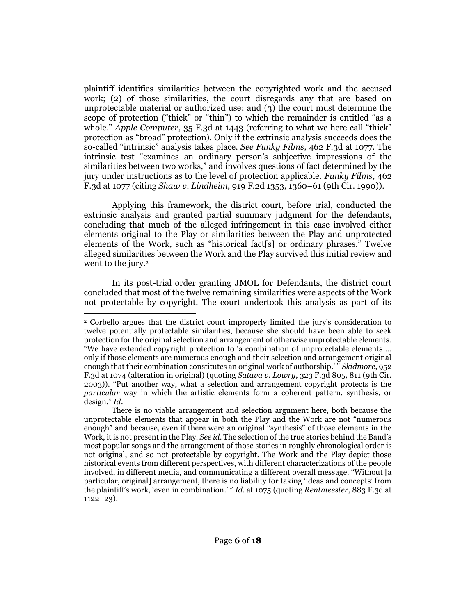plaintiff identifies similarities between the copyrighted work and the accused work; (2) of those similarities, the court disregards any that are based on unprotectable material or authorized use; and (3) the court must determine the scope of protection ("thick" or "thin") to which the remainder is entitled "as a whole." *Apple Computer*[, 35 F.3d at 1443](http://www.westlaw.com/Link/Document/FullText?findType=Y&serNum=1994188702&pubNum=0000506&originatingDoc=I2c42fac0f21a11eab42af6b6d1e1d7cf&refType=RP&fi=co_pp_sp_506_1443&originationContext=document&vr=3.0&rs=cblt1.0&transitionType=DocumentItem&contextData=(sc.Search)#co_pp_sp_506_1443) (referring to what we here call "thick" protection as "broad" protection). Only if the extrinsic analysis succeeds does the so-called "intrinsic" analysis takes place. *See Funky Films*[, 462 F.3d at 1077.](http://www.westlaw.com/Link/Document/FullText?findType=Y&serNum=2010199064&pubNum=0000506&originatingDoc=I2c42fac0f21a11eab42af6b6d1e1d7cf&refType=RP&fi=co_pp_sp_506_1077&originationContext=document&vr=3.0&rs=cblt1.0&transitionType=DocumentItem&contextData=(sc.Search)#co_pp_sp_506_1077) The intrinsic test "examines an ordinary person's subjective impressions of the similarities between two works," and involves questions of fact determined by the jury under instructions as to the level of protection applicable. *[Funky Films](http://www.westlaw.com/Link/Document/FullText?findType=Y&serNum=2010199064&pubNum=0000506&originatingDoc=I2c42fac0f21a11eab42af6b6d1e1d7cf&refType=RP&fi=co_pp_sp_506_1077&originationContext=document&vr=3.0&rs=cblt1.0&transitionType=DocumentItem&contextData=(sc.Search)#co_pp_sp_506_1077)*, 462 [F.3d at 1077](http://www.westlaw.com/Link/Document/FullText?findType=Y&serNum=2010199064&pubNum=0000506&originatingDoc=I2c42fac0f21a11eab42af6b6d1e1d7cf&refType=RP&fi=co_pp_sp_506_1077&originationContext=document&vr=3.0&rs=cblt1.0&transitionType=DocumentItem&contextData=(sc.Search)#co_pp_sp_506_1077) (citing *Shaw v. Lindheim*[, 919 F.2d 1353, 1360](http://www.westlaw.com/Link/Document/FullText?findType=Y&serNum=1990166741&pubNum=0000350&originatingDoc=I2c42fac0f21a11eab42af6b6d1e1d7cf&refType=RP&fi=co_pp_sp_350_1360&originationContext=document&vr=3.0&rs=cblt1.0&transitionType=DocumentItem&contextData=(sc.Search)#co_pp_sp_350_1360)–61 (9th Cir. 1990)).

Applying this framework, the district court, before trial, conducted the extrinsic analysis and granted partial summary judgment for the defendants, concluding that much of the alleged infringement in this case involved either elements original to the Play or similarities between the Play and unprotected elements of the Work, such as "historical fact[s] or ordinary phrases." Twelve alleged similarities between the Work and the Play survived this initial review and went to the jury.<sup>2</sup>

In its post-trial order granting JMOL for Defendants, the district court concluded that most of the twelve remaining similarities were aspects of the Work not protectable by copyright. The court undertook this analysis as part of its

<sup>2</sup> Corbello argues that the district court improperly limited the jury's consideration to twelve potentially protectable similarities, because she should have been able to seek protection for the original selection and arrangement of otherwise unprotectable elements. "We have extended copyright protection to  $a$  combination of unprotectable elements ... only if those elements are numerous enough and their selection and arrangement original enough that their combination constitutes an original work of authorship.' " *[Skidmore](http://www.westlaw.com/Link/Document/FullText?findType=Y&serNum=2050528829&pubNum=0000506&originatingDoc=I2c42fac0f21a11eab42af6b6d1e1d7cf&refType=RP&fi=co_pp_sp_506_1074&originationContext=document&vr=3.0&rs=cblt1.0&transitionType=DocumentItem&contextData=(sc.Search)#co_pp_sp_506_1074)*, 952 [F.3d at 1074](http://www.westlaw.com/Link/Document/FullText?findType=Y&serNum=2050528829&pubNum=0000506&originatingDoc=I2c42fac0f21a11eab42af6b6d1e1d7cf&refType=RP&fi=co_pp_sp_506_1074&originationContext=document&vr=3.0&rs=cblt1.0&transitionType=DocumentItem&contextData=(sc.Search)#co_pp_sp_506_1074) (alteration in original) (quoting *Satava v. Lowry*[, 323 F.3d 805, 811 \(9th Cir.](http://www.westlaw.com/Link/Document/FullText?findType=Y&serNum=2003233155&pubNum=0000506&originatingDoc=I2c42fac0f21a11eab42af6b6d1e1d7cf&refType=RP&fi=co_pp_sp_506_811&originationContext=document&vr=3.0&rs=cblt1.0&transitionType=DocumentItem&contextData=(sc.Search)#co_pp_sp_506_811)  [2003\)](http://www.westlaw.com/Link/Document/FullText?findType=Y&serNum=2003233155&pubNum=0000506&originatingDoc=I2c42fac0f21a11eab42af6b6d1e1d7cf&refType=RP&fi=co_pp_sp_506_811&originationContext=document&vr=3.0&rs=cblt1.0&transitionType=DocumentItem&contextData=(sc.Search)#co_pp_sp_506_811)). "Put another way, what a selection and arrangement copyright protects is the *particular* way in which the artistic elements form a coherent pattern, synthesis, or design." *[Id](http://www.westlaw.com/Link/Document/FullText?findType=Y&serNum=2050528829&pubNum=0000506&originatingDoc=I2c42fac0f21a11eab42af6b6d1e1d7cf&refType=RP&originationContext=document&vr=3.0&rs=cblt1.0&transitionType=DocumentItem&contextData=(sc.Search))*.

There is no viable arrangement and selection argument here, both because the unprotectable elements that appear in both the Play and the Work are not "numerous enough" and because, even if there were an original "synthesis" of those elements in the Work, it is not present in the Play. *See [id](http://www.westlaw.com/Link/Document/FullText?findType=Y&serNum=2050528829&pubNum=0000506&originatingDoc=I2c42fac0f21a11eab42af6b6d1e1d7cf&refType=RP&originationContext=document&vr=3.0&rs=cblt1.0&transitionType=DocumentItem&contextData=(sc.Search))*. The selection of the true stories behind the Band's most popular songs and the arrangement of those stories in roughly chronological order is not original, and so not protectable by copyright. The Work and the Play depict those historical events from different perspectives, with different characterizations of the people involved, in different media, and communicating a different overall message. "Without [a particular, original] arrangement, there is no liability for taking 'ideas and concepts' from the plaintiff's work, 'even in combination.' " *Id*[. at 1075](http://www.westlaw.com/Link/Document/FullText?findType=Y&serNum=2050528829&pubNum=0000506&originatingDoc=I2c42fac0f21a11eab42af6b6d1e1d7cf&refType=RP&fi=co_pp_sp_506_1075&originationContext=document&vr=3.0&rs=cblt1.0&transitionType=DocumentItem&contextData=(sc.Search)#co_pp_sp_506_1075) (quoting *Rentmeester*[, 883 F.3d at](http://www.westlaw.com/Link/Document/FullText?findType=Y&serNum=2043897592&pubNum=0000506&originatingDoc=I2c42fac0f21a11eab42af6b6d1e1d7cf&refType=RP&fi=co_pp_sp_506_1122&originationContext=document&vr=3.0&rs=cblt1.0&transitionType=DocumentItem&contextData=(sc.Search)#co_pp_sp_506_1122)  [1122](http://www.westlaw.com/Link/Document/FullText?findType=Y&serNum=2043897592&pubNum=0000506&originatingDoc=I2c42fac0f21a11eab42af6b6d1e1d7cf&refType=RP&fi=co_pp_sp_506_1122&originationContext=document&vr=3.0&rs=cblt1.0&transitionType=DocumentItem&contextData=(sc.Search)#co_pp_sp_506_1122)–23).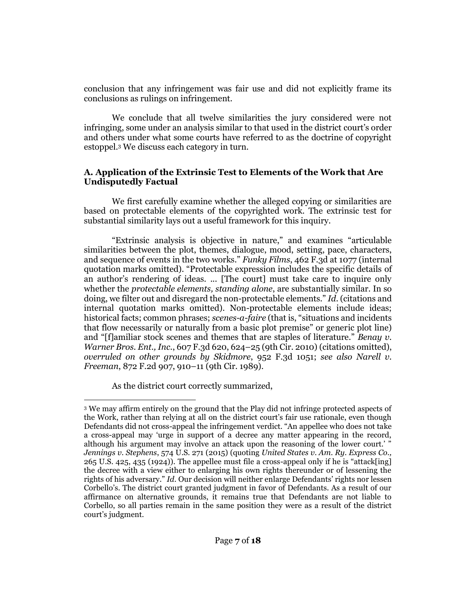conclusion that any infringement was fair use and did not explicitly frame its conclusions as rulings on infringement.

We conclude that all twelve similarities the jury considered were not infringing, some under an analysis similar to that used in the district court's order and others under what some courts have referred to as the doctrine of copyright estoppel.<sup>3</sup> We discuss each category in turn.

#### **A. Application of the Extrinsic Test to Elements of the Work that Are Undisputedly Factual**

We first carefully examine whether the alleged copying or similarities are based on protectable elements of the copyrighted work. The extrinsic test for substantial similarity lays out a useful framework for this inquiry.

"Extrinsic analysis is objective in nature," and examines "articulable similarities between the plot, themes, dialogue, mood, setting, pace, characters, and sequence of events in the two works." *Funky Films*[, 462 F.3d at 1077](http://www.westlaw.com/Link/Document/FullText?findType=Y&serNum=2010199064&pubNum=0000506&originatingDoc=I2c42fac0f21a11eab42af6b6d1e1d7cf&refType=RP&fi=co_pp_sp_506_1077&originationContext=document&vr=3.0&rs=cblt1.0&transitionType=DocumentItem&contextData=(sc.Search)#co_pp_sp_506_1077) (internal quotation marks omitted). "Protectable expression includes the specific details of an author's rendering of ideas. ... [The court] must take care to inquire only whether the *protectable elements, standing alone*, are substantially similar. In so doing, we filter out and disregard the non-protectable elements." *[Id.](http://www.westlaw.com/Link/Document/FullText?findType=Y&serNum=2010199064&pubNum=0000506&originatingDoc=I2c42fac0f21a11eab42af6b6d1e1d7cf&refType=RP&originationContext=document&vr=3.0&rs=cblt1.0&transitionType=DocumentItem&contextData=(sc.Search))* (citations and internal quotation marks omitted). Non-protectable elements include ideas; historical facts; common phrases; *scenes-a-faire* (that is, "situations and incidents that flow necessarily or naturally from a basic plot premise" or generic plot line) and "[f]amiliar stock scenes and themes that are staples of literature." *[Benay v.](http://www.westlaw.com/Link/Document/FullText?findType=Y&serNum=2022264635&pubNum=0000506&originatingDoc=I2c42fac0f21a11eab42af6b6d1e1d7cf&refType=RP&fi=co_pp_sp_506_624&originationContext=document&vr=3.0&rs=cblt1.0&transitionType=DocumentItem&contextData=(sc.Search)#co_pp_sp_506_624)  [Warner Bros. Ent., Inc.](http://www.westlaw.com/Link/Document/FullText?findType=Y&serNum=2022264635&pubNum=0000506&originatingDoc=I2c42fac0f21a11eab42af6b6d1e1d7cf&refType=RP&fi=co_pp_sp_506_624&originationContext=document&vr=3.0&rs=cblt1.0&transitionType=DocumentItem&contextData=(sc.Search)#co_pp_sp_506_624)*, 607 F.3d 620, 624–25 (9th Cir. 2010) (citations omitted), *overruled on other grounds by Skidmore*[, 952 F.3d 1051;](http://www.westlaw.com/Link/Document/FullText?findType=Y&serNum=2050528829&pubNum=0000506&originatingDoc=I2c42fac0f21a11eab42af6b6d1e1d7cf&refType=RP&originationContext=document&vr=3.0&rs=cblt1.0&transitionType=DocumentItem&contextData=(sc.Search)) *see also [Narell v.](http://www.westlaw.com/Link/Document/FullText?findType=Y&serNum=1989056769&pubNum=0000350&originatingDoc=I2c42fac0f21a11eab42af6b6d1e1d7cf&refType=RP&fi=co_pp_sp_350_910&originationContext=document&vr=3.0&rs=cblt1.0&transitionType=DocumentItem&contextData=(sc.Search)#co_pp_sp_350_910)  Freeman*[, 872 F.2d 907, 910](http://www.westlaw.com/Link/Document/FullText?findType=Y&serNum=1989056769&pubNum=0000350&originatingDoc=I2c42fac0f21a11eab42af6b6d1e1d7cf&refType=RP&fi=co_pp_sp_350_910&originationContext=document&vr=3.0&rs=cblt1.0&transitionType=DocumentItem&contextData=(sc.Search)#co_pp_sp_350_910)–11 (9th Cir. 1989).

As the district court correctly summarized,

<sup>3</sup> We may affirm entirely on the ground that the Play did not infringe protected aspects of the Work, rather than relying at all on the district court's fair use rationale, even though Defendants did not cross-appeal the infringement verdict. "An appellee who does not take a cross-appeal may 'urge in support of a decree any matter appearing in the record, although his argument may involve an attack upon the reasoning of the lower court.' " *[Jennings v. Stephens](http://www.westlaw.com/Link/Document/FullText?findType=Y&serNum=2035260001&pubNum=0000708&originatingDoc=I2c42fac0f21a11eab42af6b6d1e1d7cf&refType=RP&fi=co_pp_sp_708_798&originationContext=document&vr=3.0&rs=cblt1.0&transitionType=DocumentItem&contextData=(sc.Search)#co_pp_sp_708_798)*, 574 U.S. 271 (2015) (quoting *[United States v. Am. Ry. Express Co.,](http://www.westlaw.com/Link/Document/FullText?findType=Y&serNum=1924124102&pubNum=0000780&originatingDoc=I2c42fac0f21a11eab42af6b6d1e1d7cf&refType=RP&fi=co_pp_sp_780_435&originationContext=document&vr=3.0&rs=cblt1.0&transitionType=DocumentItem&contextData=(sc.Search)#co_pp_sp_780_435)* [265 U.S. 425, 435](http://www.westlaw.com/Link/Document/FullText?findType=Y&serNum=1924124102&pubNum=0000780&originatingDoc=I2c42fac0f21a11eab42af6b6d1e1d7cf&refType=RP&fi=co_pp_sp_780_435&originationContext=document&vr=3.0&rs=cblt1.0&transitionType=DocumentItem&contextData=(sc.Search)#co_pp_sp_780_435) (1924)). The appellee must file a cross-appeal only if he is "attack[ing] the decree with a view either to enlarging his own rights thereunder or of lessening the rights of his adversary." *[Id](http://www.westlaw.com/Link/Document/FullText?findType=Y&serNum=2035260001&pubNum=0000780&originatingDoc=I2c42fac0f21a11eab42af6b6d1e1d7cf&refType=RP&originationContext=document&vr=3.0&rs=cblt1.0&transitionType=DocumentItem&contextData=(sc.Search))*. Our decision will neither enlarge Defendants' rights nor lessen Corbello's. The district court granted judgment in favor of Defendants. As a result of our affirmance on alternative grounds, it remains true that Defendants are not liable to Corbello, so all parties remain in the same position they were as a result of the district court's judgment.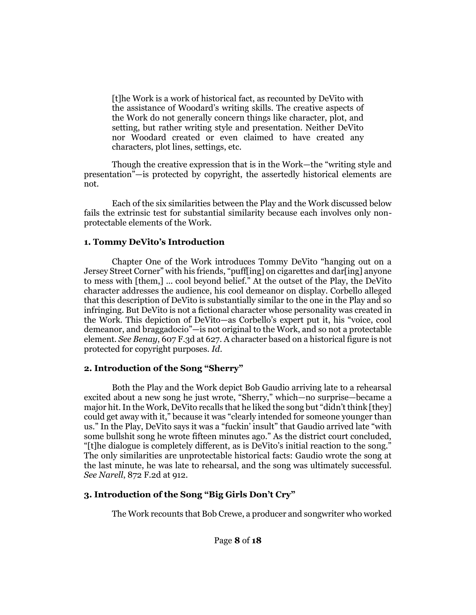[t]he Work is a work of historical fact, as recounted by DeVito with the assistance of Woodard's writing skills. The creative aspects of the Work do not generally concern things like character, plot, and setting, but rather writing style and presentation. Neither DeVito nor Woodard created or even claimed to have created any characters, plot lines, settings, etc.

Though the creative expression that is in the Work—the "writing style and presentation"—is protected by copyright, the assertedly historical elements are not.

Each of the six similarities between the Play and the Work discussed below fails the extrinsic test for substantial similarity because each involves only nonprotectable elements of the Work.

#### **1. Tommy DeVito's Introduction**

Chapter One of the Work introduces Tommy DeVito "hanging out on a Jersey Street Corner" with his friends, "puff[ing] on cigarettes and dar[ing] anyone to mess with [them,] ... cool beyond belief." At the outset of the Play, the DeVito character addresses the audience, his cool demeanor on display. Corbello alleged that this description of DeVito is substantially similar to the one in the Play and so infringing. But DeVito is not a fictional character whose personality was created in the Work. This depiction of DeVito—as Corbello's expert put it, his "voice, cool demeanor, and braggadocio"—is not original to the Work, and so not a protectable element. *See Benay*[, 607 F.3d at 627.](http://www.westlaw.com/Link/Document/FullText?findType=Y&serNum=2022264635&pubNum=0000506&originatingDoc=I2c42fac0f21a11eab42af6b6d1e1d7cf&refType=RP&fi=co_pp_sp_506_627&originationContext=document&vr=3.0&rs=cblt1.0&transitionType=DocumentItem&contextData=(sc.Search)#co_pp_sp_506_627) A character based on a historical figure is not protected for copyright purposes. *[Id](http://www.westlaw.com/Link/Document/FullText?findType=Y&serNum=2022264635&pubNum=0000506&originatingDoc=I2c42fac0f21a11eab42af6b6d1e1d7cf&refType=RP&originationContext=document&vr=3.0&rs=cblt1.0&transitionType=DocumentItem&contextData=(sc.Search))*.

## **2. Introduction of the Song "Sherry"**

Both the Play and the Work depict Bob Gaudio arriving late to a rehearsal excited about a new song he just wrote, "Sherry," which—no surprise—became a major hit. In the Work, DeVito recalls that he liked the song but "didn't think [they] could get away with it," because it was "clearly intended for someone younger than us." In the Play, DeVito says it was a "fuckin' insult" that Gaudio arrived late "with some bullshit song he wrote fifteen minutes ago." As the district court concluded, "[t]he dialogue is completely different, as is DeVito's initial reaction to the song." The only similarities are unprotectable historical facts: Gaudio wrote the song at the last minute, he was late to rehearsal, and the song was ultimately successful. *See Narell*[, 872 F.2d at 912.](http://www.westlaw.com/Link/Document/FullText?findType=Y&serNum=1989056769&pubNum=0000350&originatingDoc=I2c42fac0f21a11eab42af6b6d1e1d7cf&refType=RP&fi=co_pp_sp_350_912&originationContext=document&vr=3.0&rs=cblt1.0&transitionType=DocumentItem&contextData=(sc.Search)#co_pp_sp_350_912)

## **3. Introduction of the Song "Big Girls Don't Cry"**

The Work recounts that Bob Crewe, a producer and songwriter who worked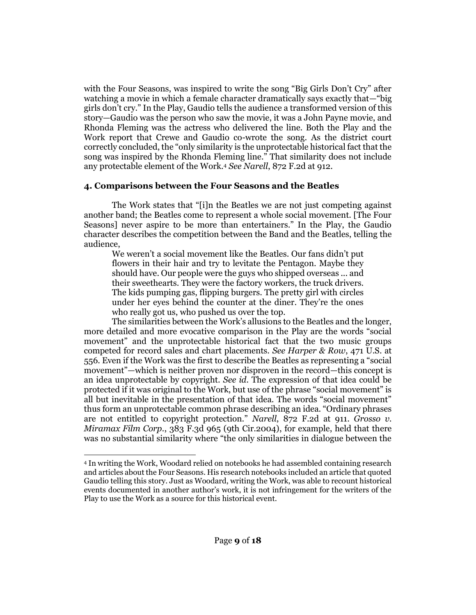with the Four Seasons, was inspired to write the song "Big Girls Don't Cry" after watching a movie in which a female character dramatically says exactly that—"big girls don't cry." In the Play, Gaudio tells the audience a transformed version of this story—Gaudio was the person who saw the movie, it was a John Payne movie, and Rhonda Fleming was the actress who delivered the line. Both the Play and the Work report that Crewe and Gaudio co-wrote the song. As the district court correctly concluded, the "only similarity is the unprotectable historical fact that the song was inspired by the Rhonda Fleming line." That similarity does not include any protectable element of the Work.<sup>4</sup> *See Narell*[, 872 F.2d at 912.](http://www.westlaw.com/Link/Document/FullText?findType=Y&serNum=1989056769&pubNum=0000350&originatingDoc=I2c42fac0f21a11eab42af6b6d1e1d7cf&refType=RP&fi=co_pp_sp_350_912&originationContext=document&vr=3.0&rs=cblt1.0&transitionType=DocumentItem&contextData=(sc.Search)#co_pp_sp_350_912)

#### **4. Comparisons between the Four Seasons and the Beatles**

The Work states that "[i]n the Beatles we are not just competing against another band; the Beatles come to represent a whole social movement. [The Four Seasons] never aspire to be more than entertainers." In the Play, the Gaudio character describes the competition between the Band and the Beatles, telling the audience,

We weren't a social movement like the Beatles. Our fans didn't put flowers in their hair and try to levitate the Pentagon. Maybe they should have. Our people were the guys who shipped overseas ... and their sweethearts. They were the factory workers, the truck drivers. The kids pumping gas, flipping burgers. The pretty girl with circles under her eyes behind the counter at the diner. They're the ones who really got us, who pushed us over the top.

The similarities between the Work's allusions to the Beatles and the longer, more detailed and more evocative comparison in the Play are the words "social movement" and the unprotectable historical fact that the two music groups competed for record sales and chart placements. *See [Harper & Row](http://www.westlaw.com/Link/Document/FullText?findType=Y&serNum=1985125844&pubNum=0000780&originatingDoc=I2c42fac0f21a11eab42af6b6d1e1d7cf&refType=RP&fi=co_pp_sp_780_556&originationContext=document&vr=3.0&rs=cblt1.0&transitionType=DocumentItem&contextData=(sc.Search)#co_pp_sp_780_556)*, 471 U.S. at [556](http://www.westlaw.com/Link/Document/FullText?findType=Y&serNum=1985125844&pubNum=0000780&originatingDoc=I2c42fac0f21a11eab42af6b6d1e1d7cf&refType=RP&fi=co_pp_sp_780_556&originationContext=document&vr=3.0&rs=cblt1.0&transitionType=DocumentItem&contextData=(sc.Search)#co_pp_sp_780_556). Even if the Work was the first to describe the Beatles as representing a "social movement"—which is neither proven nor disproven in the record—this concept is an idea unprotectable by copyright. *See [id.](http://www.westlaw.com/Link/Document/FullText?findType=Y&serNum=1985125844&pubNum=0000780&originatingDoc=I2c42fac0f21a11eab42af6b6d1e1d7cf&refType=RP&originationContext=document&vr=3.0&rs=cblt1.0&transitionType=DocumentItem&contextData=(sc.Search))* The expression of that idea could be protected if it was original to the Work, but use of the phrase "social movement" is all but inevitable in the presentation of that idea. The words "social movement" thus form an unprotectable common phrase describing an idea. "Ordinary phrases are not entitled to copyright protection." *Narell*[, 872 F.2d at 911.](http://www.westlaw.com/Link/Document/FullText?findType=Y&serNum=1989056769&pubNum=0000350&originatingDoc=I2c42fac0f21a11eab42af6b6d1e1d7cf&refType=RP&fi=co_pp_sp_350_911&originationContext=document&vr=3.0&rs=cblt1.0&transitionType=DocumentItem&contextData=(sc.Search)#co_pp_sp_350_911) *[Grosso v.](http://www.westlaw.com/Link/Document/FullText?findType=Y&serNum=2004021504&pubNum=0000506&originatingDoc=I2c42fac0f21a11eab42af6b6d1e1d7cf&refType=RP&originationContext=document&vr=3.0&rs=cblt1.0&transitionType=DocumentItem&contextData=(sc.Search))  Miramax Film Corp.*[, 383 F.3d 965 \(9th Cir.2004\),](http://www.westlaw.com/Link/Document/FullText?findType=Y&serNum=2004021504&pubNum=0000506&originatingDoc=I2c42fac0f21a11eab42af6b6d1e1d7cf&refType=RP&originationContext=document&vr=3.0&rs=cblt1.0&transitionType=DocumentItem&contextData=(sc.Search)) for example, held that there was no substantial similarity where "the only similarities in dialogue between the

<sup>4</sup> In writing the Work, Woodard relied on notebooks he had assembled containing research and articles about the Four Seasons. His research notebooks included an article that quoted Gaudio telling this story. Just as Woodard, writing the Work, was able to recount historical events documented in another author's work, it is not infringement for the writers of the Play to use the Work as a source for this historical event.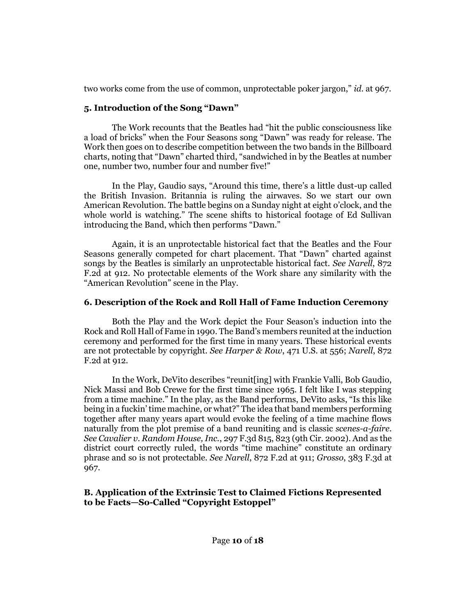two works come from the use of common, unprotectable poker jargon," *id.* [at 967.](http://www.westlaw.com/Link/Document/FullText?findType=Y&serNum=2004021504&pubNum=0000506&originatingDoc=I2c42fac0f21a11eab42af6b6d1e1d7cf&refType=RP&fi=co_pp_sp_506_967&originationContext=document&vr=3.0&rs=cblt1.0&transitionType=DocumentItem&contextData=(sc.Search)#co_pp_sp_506_967)

## **5. Introduction of the Song "Dawn"**

The Work recounts that the Beatles had "hit the public consciousness like a load of bricks" when the Four Seasons song "Dawn" was ready for release. The Work then goes on to describe competition between the two bands in the Billboard charts, noting that "Dawn" charted third, "sandwiched in by the Beatles at number one, number two, number four and number five!"

In the Play, Gaudio says, "Around this time, there's a little dust-up called the British Invasion. Britannia is ruling the airwaves. So we start our own American Revolution. The battle begins on a Sunday night at eight o'clock, and the whole world is watching." The scene shifts to historical footage of Ed Sullivan introducing the Band, which then performs "Dawn."

Again, it is an unprotectable historical fact that the Beatles and the Four Seasons generally competed for chart placement. That "Dawn" charted against songs by the Beatles is similarly an unprotectable historical fact. *See [Narell](http://www.westlaw.com/Link/Document/FullText?findType=Y&serNum=1989056769&pubNum=0000350&originatingDoc=I2c42fac0f21a11eab42af6b6d1e1d7cf&refType=RP&fi=co_pp_sp_350_912&originationContext=document&vr=3.0&rs=cblt1.0&transitionType=DocumentItem&contextData=(sc.Search)#co_pp_sp_350_912)*, 872 [F.2d at 912.](http://www.westlaw.com/Link/Document/FullText?findType=Y&serNum=1989056769&pubNum=0000350&originatingDoc=I2c42fac0f21a11eab42af6b6d1e1d7cf&refType=RP&fi=co_pp_sp_350_912&originationContext=document&vr=3.0&rs=cblt1.0&transitionType=DocumentItem&contextData=(sc.Search)#co_pp_sp_350_912) No protectable elements of the Work share any similarity with the "American Revolution" scene in the Play.

# **6. Description of the Rock and Roll Hall of Fame Induction Ceremony**

Both the Play and the Work depict the Four Season's induction into the Rock and Roll Hall of Fame in 1990. The Band's members reunited at the induction ceremony and performed for the first time in many years. These historical events are not protectable by copyright. *See Harper & Row*[, 471 U.S. at 556;](http://www.westlaw.com/Link/Document/FullText?findType=Y&serNum=1985125844&pubNum=0000780&originatingDoc=I2c42fac0f21a11eab42af6b6d1e1d7cf&refType=RP&fi=co_pp_sp_780_556&originationContext=document&vr=3.0&rs=cblt1.0&transitionType=DocumentItem&contextData=(sc.Search)#co_pp_sp_780_556) *[Narell](http://www.westlaw.com/Link/Document/FullText?findType=Y&serNum=1989056769&pubNum=0000350&originatingDoc=I2c42fac0f21a11eab42af6b6d1e1d7cf&refType=RP&fi=co_pp_sp_350_912&originationContext=document&vr=3.0&rs=cblt1.0&transitionType=DocumentItem&contextData=(sc.Search)#co_pp_sp_350_912)*, 872 [F.2d at 912.](http://www.westlaw.com/Link/Document/FullText?findType=Y&serNum=1989056769&pubNum=0000350&originatingDoc=I2c42fac0f21a11eab42af6b6d1e1d7cf&refType=RP&fi=co_pp_sp_350_912&originationContext=document&vr=3.0&rs=cblt1.0&transitionType=DocumentItem&contextData=(sc.Search)#co_pp_sp_350_912)

In the Work, DeVito describes "reunit[ing] with Frankie Valli, Bob Gaudio, Nick Massi and Bob Crewe for the first time since 1965. I felt like I was stepping from a time machine." In the play, as the Band performs, DeVito asks, "Is this like being in a fuckin' time machine, or what?" The idea that band members performing together after many years apart would evoke the feeling of a time machine flows naturally from the plot premise of a band reuniting and is classic *scenes-a-faire*. *See Cavalier v. Random House, Inc.*[, 297 F.3d 815, 823 \(9th Cir. 2002\).](http://www.westlaw.com/Link/Document/FullText?findType=Y&serNum=2002328823&pubNum=0000506&originatingDoc=I2c42fac0f21a11eab42af6b6d1e1d7cf&refType=RP&fi=co_pp_sp_506_823&originationContext=document&vr=3.0&rs=cblt1.0&transitionType=DocumentItem&contextData=(sc.Search)#co_pp_sp_506_823) And as the district court correctly ruled, the words "time machine" constitute an ordinary phrase and so is not protectable. *See Narell*[, 872 F.2d at 911;](http://www.westlaw.com/Link/Document/FullText?findType=Y&serNum=1989056769&pubNum=0000350&originatingDoc=I2c42fac0f21a11eab42af6b6d1e1d7cf&refType=RP&fi=co_pp_sp_350_911&originationContext=document&vr=3.0&rs=cblt1.0&transitionType=DocumentItem&contextData=(sc.Search)#co_pp_sp_350_911) *Grosso*[, 383 F.3d at](http://www.westlaw.com/Link/Document/FullText?findType=Y&serNum=2004021504&pubNum=0000506&originatingDoc=I2c42fac0f21a11eab42af6b6d1e1d7cf&refType=RP&fi=co_pp_sp_506_967&originationContext=document&vr=3.0&rs=cblt1.0&transitionType=DocumentItem&contextData=(sc.Search)#co_pp_sp_506_967)  [967.](http://www.westlaw.com/Link/Document/FullText?findType=Y&serNum=2004021504&pubNum=0000506&originatingDoc=I2c42fac0f21a11eab42af6b6d1e1d7cf&refType=RP&fi=co_pp_sp_506_967&originationContext=document&vr=3.0&rs=cblt1.0&transitionType=DocumentItem&contextData=(sc.Search)#co_pp_sp_506_967)

## **B. Application of the Extrinsic Test to Claimed Fictions Represented to be Facts—So-Called "Copyright Estoppel"**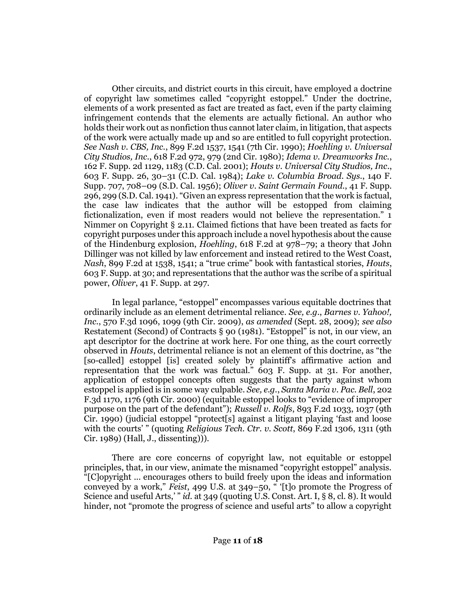Other circuits, and district courts in this circuit, have employed a doctrine of copyright law sometimes called "copyright estoppel." Under the doctrine, elements of a work presented as fact are treated as fact, even if the party claiming infringement contends that the elements are actually fictional. An author who holds their work out as nonfiction thus cannot later claim, in litigation, that aspects of the work were actually made up and so are entitled to full copyright protection. *See Nash v. CBS, Inc.*[, 899 F.2d 1537, 1541 \(7th](http://www.westlaw.com/Link/Document/FullText?findType=Y&serNum=1990067706&pubNum=0000350&originatingDoc=I2c42fac0f21a11eab42af6b6d1e1d7cf&refType=RP&fi=co_pp_sp_350_1541&originationContext=document&vr=3.0&rs=cblt1.0&transitionType=DocumentItem&contextData=(sc.Search)#co_pp_sp_350_1541) Cir. 1990); *[Hoehling v. Universal](http://www.westlaw.com/Link/Document/FullText?findType=Y&serNum=1980112712&pubNum=0000350&originatingDoc=I2c42fac0f21a11eab42af6b6d1e1d7cf&refType=RP&fi=co_pp_sp_350_979&originationContext=document&vr=3.0&rs=cblt1.0&transitionType=DocumentItem&contextData=(sc.Search)#co_pp_sp_350_979)  City Studios, Inc*[., 618 F.2d 972, 979 \(2nd Cir. 1980\);](http://www.westlaw.com/Link/Document/FullText?findType=Y&serNum=1980112712&pubNum=0000350&originatingDoc=I2c42fac0f21a11eab42af6b6d1e1d7cf&refType=RP&fi=co_pp_sp_350_979&originationContext=document&vr=3.0&rs=cblt1.0&transitionType=DocumentItem&contextData=(sc.Search)#co_pp_sp_350_979) *[Idema v. Dreamworks Inc.](http://www.westlaw.com/Link/Document/FullText?findType=Y&serNum=2001798248&pubNum=0004637&originatingDoc=I2c42fac0f21a11eab42af6b6d1e1d7cf&refType=RP&fi=co_pp_sp_4637_1183&originationContext=document&vr=3.0&rs=cblt1.0&transitionType=DocumentItem&contextData=(sc.Search)#co_pp_sp_4637_1183)*, [162 F. Supp. 2d 1129, 1183 \(C.D. Cal. 2001\);](http://www.westlaw.com/Link/Document/FullText?findType=Y&serNum=2001798248&pubNum=0004637&originatingDoc=I2c42fac0f21a11eab42af6b6d1e1d7cf&refType=RP&fi=co_pp_sp_4637_1183&originationContext=document&vr=3.0&rs=cblt1.0&transitionType=DocumentItem&contextData=(sc.Search)#co_pp_sp_4637_1183) *[Houts v. Universal City Studios, Inc](http://www.westlaw.com/Link/Document/FullText?findType=Y&serNum=1985112075&pubNum=0000345&originatingDoc=I2c42fac0f21a11eab42af6b6d1e1d7cf&refType=RP&fi=co_pp_sp_345_30&originationContext=document&vr=3.0&rs=cblt1.0&transitionType=DocumentItem&contextData=(sc.Search)#co_pp_sp_345_30)*., [603 F. Supp. 26, 30](http://www.westlaw.com/Link/Document/FullText?findType=Y&serNum=1985112075&pubNum=0000345&originatingDoc=I2c42fac0f21a11eab42af6b6d1e1d7cf&refType=RP&fi=co_pp_sp_345_30&originationContext=document&vr=3.0&rs=cblt1.0&transitionType=DocumentItem&contextData=(sc.Search)#co_pp_sp_345_30)–31 (C.D. Cal. 1984); *[Lake v. Columbia Broad. Sys.](http://www.westlaw.com/Link/Document/FullText?findType=Y&serNum=1956115104&pubNum=0000345&originatingDoc=I2c42fac0f21a11eab42af6b6d1e1d7cf&refType=RP&fi=co_pp_sp_345_708&originationContext=document&vr=3.0&rs=cblt1.0&transitionType=DocumentItem&contextData=(sc.Search)#co_pp_sp_345_708)*, 140 F. Supp. 707, 708–[09 \(S.D. Cal. 1956\);](http://www.westlaw.com/Link/Document/FullText?findType=Y&serNum=1956115104&pubNum=0000345&originatingDoc=I2c42fac0f21a11eab42af6b6d1e1d7cf&refType=RP&fi=co_pp_sp_345_708&originationContext=document&vr=3.0&rs=cblt1.0&transitionType=DocumentItem&contextData=(sc.Search)#co_pp_sp_345_708) *[Oliver v. Saint Germain Found.](http://www.westlaw.com/Link/Document/FullText?findType=Y&serNum=1941122179&pubNum=0000345&originatingDoc=I2c42fac0f21a11eab42af6b6d1e1d7cf&refType=RP&fi=co_pp_sp_345_299&originationContext=document&vr=3.0&rs=cblt1.0&transitionType=DocumentItem&contextData=(sc.Search)#co_pp_sp_345_299)*, 41 F. Supp. [296, 299 \(S.D. Cal. 1941\)](http://www.westlaw.com/Link/Document/FullText?findType=Y&serNum=1941122179&pubNum=0000345&originatingDoc=I2c42fac0f21a11eab42af6b6d1e1d7cf&refType=RP&fi=co_pp_sp_345_299&originationContext=document&vr=3.0&rs=cblt1.0&transitionType=DocumentItem&contextData=(sc.Search)#co_pp_sp_345_299). "Given an express representation that the work is factual, the case law indicates that the author will be estopped from claiming fictionalization, even if most readers would not believe the representation." 1 Nimmer on Copyright § 2.11. Claimed fictions that have been treated as facts for copyright purposes under this approach include a novel hypothesis about the cause of the Hindenburg explosion, *Hoehling*[, 618 F.2d at 978](http://www.westlaw.com/Link/Document/FullText?findType=Y&serNum=1980112712&pubNum=0000350&originatingDoc=I2c42fac0f21a11eab42af6b6d1e1d7cf&refType=RP&fi=co_pp_sp_350_978&originationContext=document&vr=3.0&rs=cblt1.0&transitionType=DocumentItem&contextData=(sc.Search)#co_pp_sp_350_978)–79; a theory that John Dillinger was not killed by law enforcement and instead retired to the West Coast, *Nash*[, 899 F.2d at 1538, 1541](http://www.westlaw.com/Link/Document/FullText?findType=Y&serNum=1990067706&pubNum=0000350&originatingDoc=I2c42fac0f21a11eab42af6b6d1e1d7cf&refType=RP&fi=co_pp_sp_350_1538&originationContext=document&vr=3.0&rs=cblt1.0&transitionType=DocumentItem&contextData=(sc.Search)#co_pp_sp_350_1538); a "true crime" book with fantastical stories, *[Houts](http://www.westlaw.com/Link/Document/FullText?findType=Y&serNum=1985112075&pubNum=0000345&originatingDoc=I2c42fac0f21a11eab42af6b6d1e1d7cf&refType=RP&fi=co_pp_sp_345_30&originationContext=document&vr=3.0&rs=cblt1.0&transitionType=DocumentItem&contextData=(sc.Search)#co_pp_sp_345_30)*, [603 F. Supp. at 30;](http://www.westlaw.com/Link/Document/FullText?findType=Y&serNum=1985112075&pubNum=0000345&originatingDoc=I2c42fac0f21a11eab42af6b6d1e1d7cf&refType=RP&fi=co_pp_sp_345_30&originationContext=document&vr=3.0&rs=cblt1.0&transitionType=DocumentItem&contextData=(sc.Search)#co_pp_sp_345_30) and representations that the author was the scribe of a spiritual power, *Oliver*[, 41 F. Supp. at 297.](http://www.westlaw.com/Link/Document/FullText?findType=Y&serNum=1941122179&pubNum=0000345&originatingDoc=I2c42fac0f21a11eab42af6b6d1e1d7cf&refType=RP&fi=co_pp_sp_345_297&originationContext=document&vr=3.0&rs=cblt1.0&transitionType=DocumentItem&contextData=(sc.Search)#co_pp_sp_345_297)

In legal parlance, "estoppel" encompasses various equitable doctrines that ordinarily include as an element detrimental reliance. *See, e.g.*, *[Barnes v. Yahoo!,](http://www.westlaw.com/Link/Document/FullText?findType=Y&serNum=2019174045&pubNum=0000506&originatingDoc=I2c42fac0f21a11eab42af6b6d1e1d7cf&refType=RP&fi=co_pp_sp_506_1099&originationContext=document&vr=3.0&rs=cblt1.0&transitionType=DocumentItem&contextData=(sc.Search)#co_pp_sp_506_1099)  Inc.*[, 570 F.3d 1096, 1099 \(9th Cir. 2009\),](http://www.westlaw.com/Link/Document/FullText?findType=Y&serNum=2019174045&pubNum=0000506&originatingDoc=I2c42fac0f21a11eab42af6b6d1e1d7cf&refType=RP&fi=co_pp_sp_506_1099&originationContext=document&vr=3.0&rs=cblt1.0&transitionType=DocumentItem&contextData=(sc.Search)#co_pp_sp_506_1099) *as amended* (Sept. 28, 2009); *see also* [Restatement \(Second\) of Contracts § 90 \(1981\)](http://www.westlaw.com/Link/Document/FullText?findType=Y&serNum=0289906979&pubNum=0101603&originatingDoc=I2c42fac0f21a11eab42af6b6d1e1d7cf&refType=TS&originationContext=document&vr=3.0&rs=cblt1.0&transitionType=DocumentItem&contextData=(sc.Search)). "Estoppel" is not, in our view, an apt descriptor for the doctrine at work here. For one thing, as the court correctly observed in *[Houts](http://www.westlaw.com/Link/Document/FullText?findType=Y&serNum=1985112075&pubNum=0000345&originatingDoc=I2c42fac0f21a11eab42af6b6d1e1d7cf&refType=RP&originationContext=document&vr=3.0&rs=cblt1.0&transitionType=DocumentItem&contextData=(sc.Search))*, detrimental reliance is not an element of this doctrine, as "the [so-called] estoppel [is] created solely by plaintiff's affirmative action and representation that the work was factual." [603 F. Supp. at 31.](http://www.westlaw.com/Link/Document/FullText?findType=Y&serNum=1985112075&pubNum=0000345&originatingDoc=I2c42fac0f21a11eab42af6b6d1e1d7cf&refType=RP&fi=co_pp_sp_345_31&originationContext=document&vr=3.0&rs=cblt1.0&transitionType=DocumentItem&contextData=(sc.Search)#co_pp_sp_345_31) For another, application of estoppel concepts often suggests that the party against whom estoppel is applied is in some way culpable. *See, e.g.*, *[Santa Maria v. Pac. Bell](http://www.westlaw.com/Link/Document/FullText?findType=Y&serNum=2000039044&pubNum=0000506&originatingDoc=I2c42fac0f21a11eab42af6b6d1e1d7cf&refType=RP&fi=co_pp_sp_506_1176&originationContext=document&vr=3.0&rs=cblt1.0&transitionType=DocumentItem&contextData=(sc.Search)#co_pp_sp_506_1176)*, 202 [F.3d 1170, 1176 \(9th Cir. 2000\)](http://www.westlaw.com/Link/Document/FullText?findType=Y&serNum=2000039044&pubNum=0000506&originatingDoc=I2c42fac0f21a11eab42af6b6d1e1d7cf&refType=RP&fi=co_pp_sp_506_1176&originationContext=document&vr=3.0&rs=cblt1.0&transitionType=DocumentItem&contextData=(sc.Search)#co_pp_sp_506_1176) (equitable estoppel looks to "evidence of improper purpose on the part of the defendant"); *Russell v. Rolfs*[, 893 F.2d 1033, 1037 \(9th](http://www.westlaw.com/Link/Document/FullText?findType=Y&serNum=1990019291&pubNum=0000350&originatingDoc=I2c42fac0f21a11eab42af6b6d1e1d7cf&refType=RP&fi=co_pp_sp_350_1037&originationContext=document&vr=3.0&rs=cblt1.0&transitionType=DocumentItem&contextData=(sc.Search)#co_pp_sp_350_1037)  [Cir. 1990\)](http://www.westlaw.com/Link/Document/FullText?findType=Y&serNum=1990019291&pubNum=0000350&originatingDoc=I2c42fac0f21a11eab42af6b6d1e1d7cf&refType=RP&fi=co_pp_sp_350_1037&originationContext=document&vr=3.0&rs=cblt1.0&transitionType=DocumentItem&contextData=(sc.Search)#co_pp_sp_350_1037) (judicial estoppel "protect[s] against a litigant playing 'fast and loose with the courts' " (quoting *[Religious Tech. Ctr. v. Scott](http://www.westlaw.com/Link/Document/FullText?findType=Y&serNum=1989037845&pubNum=0000350&originatingDoc=I2c42fac0f21a11eab42af6b6d1e1d7cf&refType=RP&fi=co_pp_sp_350_1311&originationContext=document&vr=3.0&rs=cblt1.0&transitionType=DocumentItem&contextData=(sc.Search)#co_pp_sp_350_1311)*, 869 F.2d 1306, 1311 (9th [Cir. 1989\)](http://www.westlaw.com/Link/Document/FullText?findType=Y&serNum=1989037845&pubNum=0000350&originatingDoc=I2c42fac0f21a11eab42af6b6d1e1d7cf&refType=RP&fi=co_pp_sp_350_1311&originationContext=document&vr=3.0&rs=cblt1.0&transitionType=DocumentItem&contextData=(sc.Search)#co_pp_sp_350_1311) (Hall, J., dissenting))).

There are core concerns of copyright law, not equitable or estoppel principles, that, in our view, animate the misnamed "copyright estoppel" analysis. "[C]opyright ... encourages others to build freely upon the ideas and information conveyed by a work," *Feist*[, 499 U.S. at 349](http://www.westlaw.com/Link/Document/FullText?findType=Y&serNum=1991060551&pubNum=0000780&originatingDoc=I2c42fac0f21a11eab42af6b6d1e1d7cf&refType=RP&fi=co_pp_sp_780_349&originationContext=document&vr=3.0&rs=cblt1.0&transitionType=DocumentItem&contextData=(sc.Search)#co_pp_sp_780_349)–50, " '[t]o promote the Progress of Science and useful Arts,' " *id.* [at 349](http://www.westlaw.com/Link/Document/FullText?findType=Y&serNum=1991060551&pubNum=0000708&originatingDoc=I2c42fac0f21a11eab42af6b6d1e1d7cf&refType=RP&fi=co_pp_sp_708_349&originationContext=document&vr=3.0&rs=cblt1.0&transitionType=DocumentItem&contextData=(sc.Search)#co_pp_sp_708_349) (quoting [U.S. Const. Art. I, § 8, cl. 8\)](http://www.westlaw.com/Link/Document/FullText?findType=L&pubNum=1000583&cite=USCOARTIS8CL8&originatingDoc=I2c42fac0f21a11eab42af6b6d1e1d7cf&refType=LQ&originationContext=document&vr=3.0&rs=cblt1.0&transitionType=DocumentItem&contextData=(sc.Search)). It would hinder, not "promote the progress of science and useful arts" to allow a copyright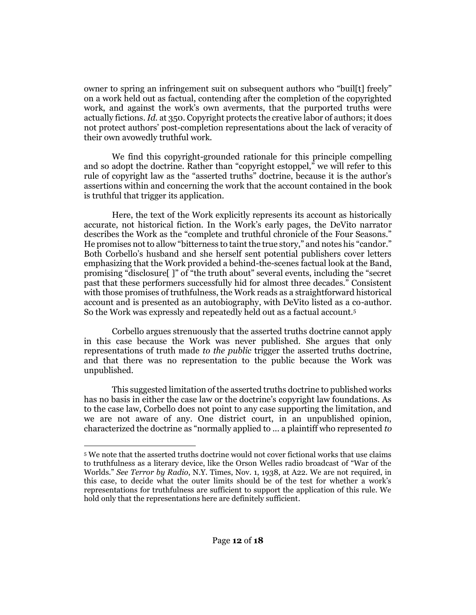owner to spring an infringement suit on subsequent authors who "buil[t] freely" on a work held out as factual, contending after the completion of the copyrighted work, and against the work's own averments, that the purported truths were actually fictions. *Id.* [at 350.](http://www.westlaw.com/Link/Document/FullText?findType=Y&serNum=1991060551&pubNum=0000708&originatingDoc=I2c42fac0f21a11eab42af6b6d1e1d7cf&refType=RP&originationContext=document&vr=3.0&rs=cblt1.0&transitionType=DocumentItem&contextData=(sc.Search)) Copyright protects the creative labor of authors; it does not protect authors' post-completion representations about the lack of veracity of their own avowedly truthful work.

We find this copyright-grounded rationale for this principle compelling and so adopt the doctrine. Rather than "copyright estoppel," we will refer to this rule of copyright law as the "asserted truths" doctrine, because it is the author's assertions within and concerning the work that the account contained in the book is truthful that trigger its application.

Here, the text of the Work explicitly represents its account as historically accurate, not historical fiction. In the Work's early pages, the DeVito narrator describes the Work as the "complete and truthful chronicle of the Four Seasons." He promises not to allow "bitterness to taint the true story," and notes his "candor." Both Corbello's husband and she herself sent potential publishers cover letters emphasizing that the Work provided a behind-the-scenes factual look at the Band, promising "disclosure[ ]" of "the truth about" several events, including the "secret past that these performers successfully hid for almost three decades." Consistent with those promises of truthfulness, the Work reads as a straightforward historical account and is presented as an autobiography, with DeVito listed as a co-author. So the Work was expressly and repeatedly held out as a factual account.<sup>5</sup>

Corbello argues strenuously that the asserted truths doctrine cannot apply in this case because the Work was never published. She argues that only representations of truth made *to the public* trigger the asserted truths doctrine, and that there was no representation to the public because the Work was unpublished.

This suggested limitation of the asserted truths doctrine to published works has no basis in either the case law or the doctrine's copyright law foundations. As to the case law, Corbello does not point to any case supporting the limitation, and we are not aware of any. One district court, in an unpublished opinion, characterized the doctrine as "normally applied to ... a plaintiff who represented *to* 

<sup>5</sup> We note that the asserted truths doctrine would not cover fictional works that use claims to truthfulness as a literary device, like the Orson Welles radio broadcast of "War of the Worlds." *See Terror by Radio*, N.Y. Times, Nov. 1, 1938, at A22. We are not required, in this case, to decide what the outer limits should be of the test for whether a work's representations for truthfulness are sufficient to support the application of this rule. We hold only that the representations here are definitely sufficient.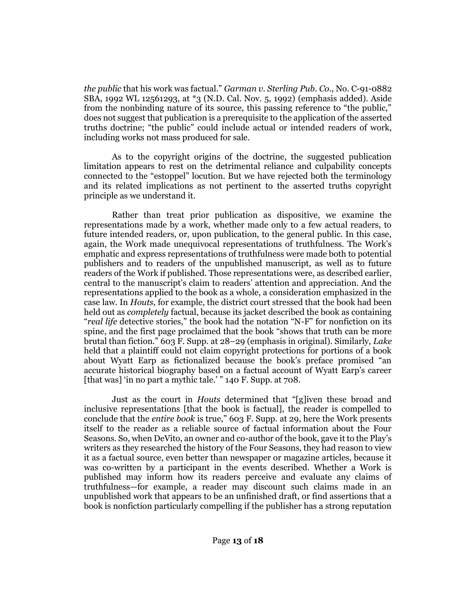*the public* that his work was factual." *Garman [v. Sterling Pub. Co.](http://www.westlaw.com/Link/Document/FullText?findType=Y&serNum=2010469521&pubNum=0000999&originatingDoc=I2c42fac0f21a11eab42af6b6d1e1d7cf&refType=RP&originationContext=document&vr=3.0&rs=cblt1.0&transitionType=DocumentItem&contextData=(sc.Search))*, No. C-91-0882 [SBA, 1992 WL 12561293, at \\*3 \(N.D. Cal. Nov. 5, 1992\)](http://www.westlaw.com/Link/Document/FullText?findType=Y&serNum=2010469521&pubNum=0000999&originatingDoc=I2c42fac0f21a11eab42af6b6d1e1d7cf&refType=RP&originationContext=document&vr=3.0&rs=cblt1.0&transitionType=DocumentItem&contextData=(sc.Search)) (emphasis added). Aside from the nonbinding nature of its source, this passing reference to "the public," does not suggest that publication is a prerequisite to the application of the asserted truths doctrine; "the public" could include actual or intended readers of work, including works not mass produced for sale.

As to the copyright origins of the doctrine, the suggested publication limitation appears to rest on the detrimental reliance and culpability concepts connected to the "estoppel" locution. But we have rejected both the terminology and its related implications as not pertinent to the asserted truths copyright principle as we understand it.

Rather than treat prior publication as dispositive, we examine the representations made by a work, whether made only to a few actual readers, to future intended readers, or, upon publication, to the general public. In this case, again, the Work made unequivocal representations of truthfulness. The Work's emphatic and express representations of truthfulness were made both to potential publishers and to readers of the unpublished manuscript, as well as to future readers of the Work if published. Those representations were, as described earlier, central to the manuscript's claim to readers' attention and appreciation. And the representations applied to the book as a whole, a consideration emphasized in the case law. In *[Houts](http://www.westlaw.com/Link/Document/FullText?findType=Y&serNum=1985112075&pubNum=0000345&originatingDoc=I2c42fac0f21a11eab42af6b6d1e1d7cf&refType=RP&originationContext=document&vr=3.0&rs=cblt1.0&transitionType=DocumentItem&contextData=(sc.Search))*, for example, the district court stressed that the book had been held out as *completely* factual, because its jacket described the book as containing "*real life* detective stories," the book had the notation "N-F" for nonfiction on its spine, and the first page proclaimed that the book "shows that truth can be more brutal than fiction." [603 F. Supp. at 28](http://www.westlaw.com/Link/Document/FullText?findType=Y&serNum=1985112075&pubNum=0000345&originatingDoc=I2c42fac0f21a11eab42af6b6d1e1d7cf&refType=RP&fi=co_pp_sp_345_28&originationContext=document&vr=3.0&rs=cblt1.0&transitionType=DocumentItem&contextData=(sc.Search)#co_pp_sp_345_28)–29 (emphasis in original). Similarly, *[Lake](http://www.westlaw.com/Link/Document/FullText?findType=Y&serNum=1956115104&pubNum=0000345&originatingDoc=I2c42fac0f21a11eab42af6b6d1e1d7cf&refType=RP&originationContext=document&vr=3.0&rs=cblt1.0&transitionType=DocumentItem&contextData=(sc.Search))* held that a plaintiff could not claim copyright protections for portions of a book about Wyatt Earp as fictionalized because the book's preface promised "an accurate historical biography based on a factual account of Wyatt Earp's career [that was] 'in no part a mythic tale.' " [140 F. Supp. at 708.](http://www.westlaw.com/Link/Document/FullText?findType=Y&serNum=1956115104&pubNum=0000345&originatingDoc=I2c42fac0f21a11eab42af6b6d1e1d7cf&refType=RP&fi=co_pp_sp_345_708&originationContext=document&vr=3.0&rs=cblt1.0&transitionType=DocumentItem&contextData=(sc.Search)#co_pp_sp_345_708)

Just as the court in *[Houts](http://www.westlaw.com/Link/Document/FullText?findType=Y&serNum=1985112075&pubNum=0000345&originatingDoc=I2c42fac0f21a11eab42af6b6d1e1d7cf&refType=RP&originationContext=document&vr=3.0&rs=cblt1.0&transitionType=DocumentItem&contextData=(sc.Search))* determined that "[g]iven these broad and inclusive representations [that the book is factual], the reader is compelled to conclude that the *entire book* is true," [603 F. Supp. at 29,](http://www.westlaw.com/Link/Document/FullText?findType=Y&serNum=1985112075&pubNum=0000345&originatingDoc=I2c42fac0f21a11eab42af6b6d1e1d7cf&refType=RP&fi=co_pp_sp_345_29&originationContext=document&vr=3.0&rs=cblt1.0&transitionType=DocumentItem&contextData=(sc.Search)#co_pp_sp_345_29) here the Work presents itself to the reader as a reliable source of factual information about the Four Seasons. So, when DeVito, an owner and co-author of the book, gave it to the Play's writers as they researched the history of the Four Seasons, they had reason to view it as a factual source, even better than newspaper or magazine articles, because it was co-written by a participant in the events described. Whether a Work is published may inform how its readers perceive and evaluate any claims of truthfulness—for example, a reader may discount such claims made in an unpublished work that appears to be an unfinished draft, or find assertions that a book is nonfiction particularly compelling if the publisher has a strong reputation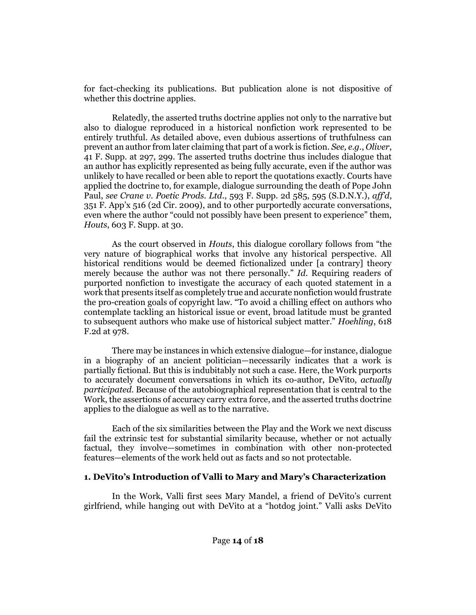for fact-checking its publications. But publication alone is not dispositive of whether this doctrine applies.

Relatedly, the asserted truths doctrine applies not only to the narrative but also to dialogue reproduced in a historical nonfiction work represented to be entirely truthful. As detailed above, even dubious assertions of truthfulness can prevent an author from later claiming that part of a work is fiction. *See, e.g.*, *[Oliver](http://www.westlaw.com/Link/Document/FullText?findType=Y&serNum=1941122179&pubNum=0000345&originatingDoc=I2c42fac0f21a11eab42af6b6d1e1d7cf&refType=RP&fi=co_pp_sp_345_297&originationContext=document&vr=3.0&rs=cblt1.0&transitionType=DocumentItem&contextData=(sc.Search)#co_pp_sp_345_297)*, [41 F. Supp. at 297, 299.](http://www.westlaw.com/Link/Document/FullText?findType=Y&serNum=1941122179&pubNum=0000345&originatingDoc=I2c42fac0f21a11eab42af6b6d1e1d7cf&refType=RP&fi=co_pp_sp_345_297&originationContext=document&vr=3.0&rs=cblt1.0&transitionType=DocumentItem&contextData=(sc.Search)#co_pp_sp_345_297) The asserted truths doctrine thus includes dialogue that an author has explicitly represented as being fully accurate, even if the author was unlikely to have recalled or been able to report the quotations exactly. Courts have applied the doctrine to, for example, dialogue surrounding the death of Pope John Paul, *see Crane v. Poetic Prods. Ltd*[., 593 F. Supp. 2d 585, 595 \(S.D.N.Y.\),](http://www.westlaw.com/Link/Document/FullText?findType=Y&serNum=2017858948&pubNum=0004637&originatingDoc=I2c42fac0f21a11eab42af6b6d1e1d7cf&refType=RP&fi=co_pp_sp_4637_595&originationContext=document&vr=3.0&rs=cblt1.0&transitionType=DocumentItem&contextData=(sc.Search)#co_pp_sp_4637_595) *aff'd*, 351 F. [App'x 516 \(2d Cir. 2009\)](http://www.westlaw.com/Link/Document/FullText?findType=Y&serNum=2020287457&pubNum=0006538&originatingDoc=I2c42fac0f21a11eab42af6b6d1e1d7cf&refType=RP&originationContext=document&vr=3.0&rs=cblt1.0&transitionType=DocumentItem&contextData=(sc.Search)), and to other purportedly accurate conversations, even where the author "could not possibly have been present to experience" them, *Houts*[, 603 F. Supp. at 30.](http://www.westlaw.com/Link/Document/FullText?findType=Y&serNum=1985112075&pubNum=0000345&originatingDoc=I2c42fac0f21a11eab42af6b6d1e1d7cf&refType=RP&fi=co_pp_sp_345_30&originationContext=document&vr=3.0&rs=cblt1.0&transitionType=DocumentItem&contextData=(sc.Search)#co_pp_sp_345_30)

As the court observed in *[Houts](http://www.westlaw.com/Link/Document/FullText?findType=Y&serNum=1985112075&pubNum=0000345&originatingDoc=I2c42fac0f21a11eab42af6b6d1e1d7cf&refType=RP&originationContext=document&vr=3.0&rs=cblt1.0&transitionType=DocumentItem&contextData=(sc.Search))*, this dialogue corollary follows from "the very nature of biographical works that involve any historical perspective. All historical renditions would be deemed fictionalized under [a contrary] theory merely because the author was not there personally." *[Id](http://www.westlaw.com/Link/Document/FullText?findType=Y&serNum=1985112075&pubNum=0000345&originatingDoc=I2c42fac0f21a11eab42af6b6d1e1d7cf&refType=RP&originationContext=document&vr=3.0&rs=cblt1.0&transitionType=DocumentItem&contextData=(sc.Search))*. Requiring readers of purported nonfiction to investigate the accuracy of each quoted statement in a work that presents itself as completely true and accurate nonfiction would frustrate the pro-creation goals of copyright law. "To avoid a chilling effect on authors who contemplate tackling an historical issue or event, broad latitude must be granted to subsequent authors who make use of historical subject matter." *[Hoehling](http://www.westlaw.com/Link/Document/FullText?findType=Y&serNum=1980112712&pubNum=0000350&originatingDoc=I2c42fac0f21a11eab42af6b6d1e1d7cf&refType=RP&fi=co_pp_sp_350_978&originationContext=document&vr=3.0&rs=cblt1.0&transitionType=DocumentItem&contextData=(sc.Search)#co_pp_sp_350_978)*, 618 [F.2d at 978.](http://www.westlaw.com/Link/Document/FullText?findType=Y&serNum=1980112712&pubNum=0000350&originatingDoc=I2c42fac0f21a11eab42af6b6d1e1d7cf&refType=RP&fi=co_pp_sp_350_978&originationContext=document&vr=3.0&rs=cblt1.0&transitionType=DocumentItem&contextData=(sc.Search)#co_pp_sp_350_978)

There may be instances in which extensive dialogue—for instance, dialogue in a biography of an ancient politician—necessarily indicates that a work is partially fictional. But this is indubitably not such a case. Here, the Work purports to accurately document conversations in which its co-author, DeVito, *actually participated*. Because of the autobiographical representation that is central to the Work, the assertions of accuracy carry extra force, and the asserted truths doctrine applies to the dialogue as well as to the narrative.

Each of the six similarities between the Play and the Work we next discuss fail the extrinsic test for substantial similarity because, whether or not actually factual, they involve—sometimes in combination with other non-protected features—elements of the work held out as facts and so not protectable.

#### **1. DeVito's Introduction of Valli to Mary and Mary's Characterization**

In the Work, Valli first sees Mary Mandel, a friend of DeVito's current girlfriend, while hanging out with DeVito at a "hotdog joint." Valli asks DeVito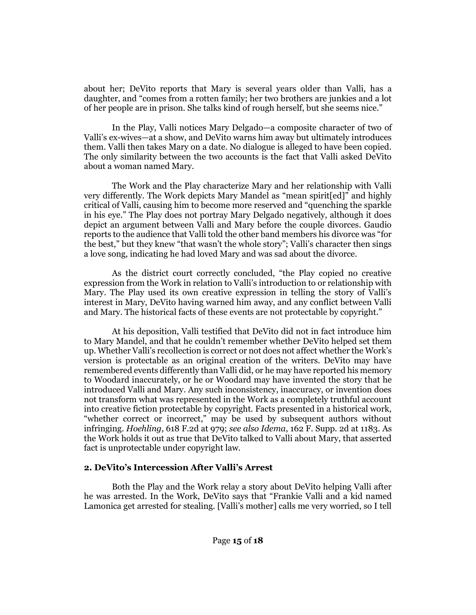about her; DeVito reports that Mary is several years older than Valli, has a daughter, and "comes from a rotten family; her two brothers are junkies and a lot of her people are in prison. She talks kind of rough herself, but she seems nice."

In the Play, Valli notices Mary Delgado—a composite character of two of Valli's ex-wives—at a show, and DeVito warns him away but ultimately introduces them. Valli then takes Mary on a date. No dialogue is alleged to have been copied. The only similarity between the two accounts is the fact that Valli asked DeVito about a woman named Mary.

The Work and the Play characterize Mary and her relationship with Valli very differently. The Work depicts Mary Mandel as "mean spirit[ed]" and highly critical of Valli, causing him to become more reserved and "quenching the sparkle in his eye." The Play does not portray Mary Delgado negatively, although it does depict an argument between Valli and Mary before the couple divorces. Gaudio reports to the audience that Valli told the other band members his divorce was "for the best," but they knew "that wasn't the whole story"; Valli's character then sings a love song, indicating he had loved Mary and was sad about the divorce.

As the district court correctly concluded, "the Play copied no creative expression from the Work in relation to Valli's introduction to or relationship with Mary. The Play used its own creative expression in telling the story of Valli's interest in Mary, DeVito having warned him away, and any conflict between Valli and Mary. The historical facts of these events are not protectable by copyright."

At his deposition, Valli testified that DeVito did not in fact introduce him to Mary Mandel, and that he couldn't remember whether DeVito helped set them up. Whether Valli's recollection is correct or not does not affect whether the Work's version is protectable as an original creation of the writers. DeVito may have remembered events differently than Valli did, or he may have reported his memory to Woodard inaccurately, or he or Woodard may have invented the story that he introduced Valli and Mary. Any such inconsistency, inaccuracy, or invention does not transform what was represented in the Work as a completely truthful account into creative fiction protectable by copyright. Facts presented in a historical work, "whether correct or incorrect," may be used by subsequent authors without infringing. *Hoehling*[, 618 F.2d at 979;](http://www.westlaw.com/Link/Document/FullText?findType=Y&serNum=1980112712&pubNum=0000350&originatingDoc=I2c42fac0f21a11eab42af6b6d1e1d7cf&refType=RP&fi=co_pp_sp_350_979&originationContext=document&vr=3.0&rs=cblt1.0&transitionType=DocumentItem&contextData=(sc.Search)#co_pp_sp_350_979) *see also Idema*, 162 [F. Supp. 2d at 1183.](http://www.westlaw.com/Link/Document/FullText?findType=Y&serNum=2001798248&pubNum=0004637&originatingDoc=I2c42fac0f21a11eab42af6b6d1e1d7cf&refType=RP&fi=co_pp_sp_4637_1183&originationContext=document&vr=3.0&rs=cblt1.0&transitionType=DocumentItem&contextData=(sc.Search)#co_pp_sp_4637_1183) As the Work holds it out as true that DeVito talked to Valli about Mary, that asserted fact is unprotectable under copyright law.

#### **2. DeVito's Intercession After Valli's Arrest**

Both the Play and the Work relay a story about DeVito helping Valli after he was arrested. In the Work, DeVito says that "Frankie Valli and a kid named Lamonica get arrested for stealing. [Valli's mother] calls me very worried, so I tell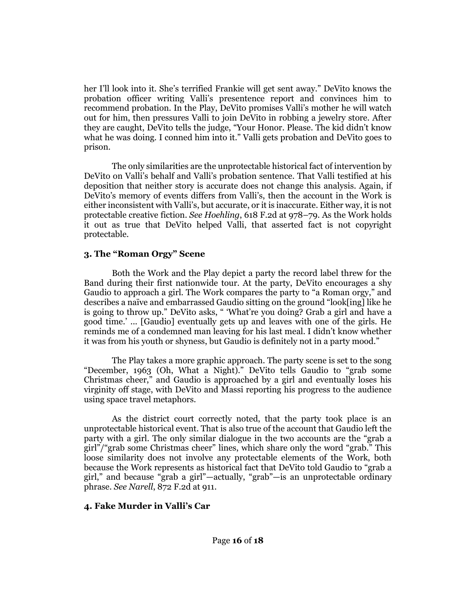her I'll look into it. She's terrified Frankie will get sent away." DeVito knows the probation officer writing Valli's presentence report and convinces him to recommend probation. In the Play, DeVito promises Valli's mother he will watch out for him, then pressures Valli to join DeVito in robbing a jewelry store. After they are caught, DeVito tells the judge, "Your Honor. Please. The kid didn't know what he was doing. I conned him into it." Valli gets probation and DeVito goes to prison.

The only similarities are the unprotectable historical fact of intervention by DeVito on Valli's behalf and Valli's probation sentence. That Valli testified at his deposition that neither story is accurate does not change this analysis. Again, if DeVito's memory of events differs from Valli's, then the account in the Work is either inconsistent with Valli's, but accurate, or it is inaccurate. Either way, it is not protectable creative fiction. *See Hoehling*[, 618 F.2d at 978](http://www.westlaw.com/Link/Document/FullText?findType=Y&serNum=1980112712&pubNum=0000350&originatingDoc=I2c42fac0f21a11eab42af6b6d1e1d7cf&refType=RP&fi=co_pp_sp_350_978&originationContext=document&vr=3.0&rs=cblt1.0&transitionType=DocumentItem&contextData=(sc.Search)#co_pp_sp_350_978)–79. As the Work holds it out as true that DeVito helped Valli, that asserted fact is not copyright protectable.

## **3. The "Roman Orgy" Scene**

Both the Work and the Play depict a party the record label threw for the Band during their first nationwide tour. At the party, DeVito encourages a shy Gaudio to approach a girl. The Work compares the party to "a Roman orgy," and describes a naïve and embarrassed Gaudio sitting on the ground "look[ing] like he is going to throw up." DeVito asks, " 'What're you doing? Grab a girl and have a good time.' ... [Gaudio] eventually gets up and leaves with one of the girls. He reminds me of a condemned man leaving for his last meal. I didn't know whether it was from his youth or shyness, but Gaudio is definitely not in a party mood."

The Play takes a more graphic approach. The party scene is set to the song "December, 1963 (Oh, What a Night)." DeVito tells Gaudio to "grab some Christmas cheer," and Gaudio is approached by a girl and eventually loses his virginity off stage, with DeVito and Massi reporting his progress to the audience using space travel metaphors.

As the district court correctly noted, that the party took place is an unprotectable historical event. That is also true of the account that Gaudio left the party with a girl. The only similar dialogue in the two accounts are the "grab a girl"/"grab some Christmas cheer" lines, which share only the word "grab." This loose similarity does not involve any protectable elements of the Work, both because the Work represents as historical fact that DeVito told Gaudio to "grab a girl," and because "grab a girl"—actually, "grab"—is an unprotectable ordinary phrase. *See Narell*[, 872 F.2d at 911.](http://www.westlaw.com/Link/Document/FullText?findType=Y&serNum=1989056769&pubNum=0000350&originatingDoc=I2c42fac0f21a11eab42af6b6d1e1d7cf&refType=RP&fi=co_pp_sp_350_911&originationContext=document&vr=3.0&rs=cblt1.0&transitionType=DocumentItem&contextData=(sc.Search)#co_pp_sp_350_911)

#### **4. Fake Murder in Valli's Car**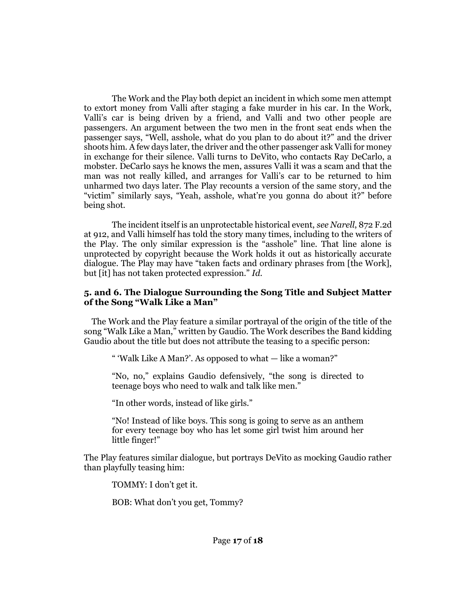The Work and the Play both depict an incident in which some men attempt to extort money from Valli after staging a fake murder in his car. In the Work, Valli's car is being driven by a friend, and Valli and two other people are passengers. An argument between the two men in the front seat ends when the passenger says, "Well, asshole, what do you plan to do about it?" and the driver shoots him. A few days later, the driver and the other passenger ask Valli for money in exchange for their silence. Valli turns to DeVito, who contacts Ray DeCarlo, a mobster. DeCarlo says he knows the men, assures Valli it was a scam and that the man was not really killed, and arranges for Valli's car to be returned to him unharmed two days later. The Play recounts a version of the same story, and the "victim" similarly says, "Yeah, asshole, what're you gonna do about it?" before being shot.

The incident itself is an unprotectable historical event, *see Narell*[, 872 F.2d](http://www.westlaw.com/Link/Document/FullText?findType=Y&serNum=1989056769&pubNum=0000350&originatingDoc=I2c42fac0f21a11eab42af6b6d1e1d7cf&refType=RP&fi=co_pp_sp_350_912&originationContext=document&vr=3.0&rs=cblt1.0&transitionType=DocumentItem&contextData=(sc.Search)#co_pp_sp_350_912)  [at 912,](http://www.westlaw.com/Link/Document/FullText?findType=Y&serNum=1989056769&pubNum=0000350&originatingDoc=I2c42fac0f21a11eab42af6b6d1e1d7cf&refType=RP&fi=co_pp_sp_350_912&originationContext=document&vr=3.0&rs=cblt1.0&transitionType=DocumentItem&contextData=(sc.Search)#co_pp_sp_350_912) and Valli himself has told the story many times, including to the writers of the Play. The only similar expression is the "asshole" line. That line alone is unprotected by copyright because the Work holds it out as historically accurate dialogue. The Play may have "taken facts and ordinary phrases from [the Work], but [it] has not taken protected expression." *[Id](http://www.westlaw.com/Link/Document/FullText?findType=Y&serNum=1989056769&pubNum=0000350&originatingDoc=I2c42fac0f21a11eab42af6b6d1e1d7cf&refType=RP&originationContext=document&vr=3.0&rs=cblt1.0&transitionType=DocumentItem&contextData=(sc.Search))*.

#### **5. and 6. The Dialogue Surrounding the Song Title and Subject Matter of the Song "Walk Like a Man"**

The Work and the Play feature a similar portrayal of the origin of the title of the song "Walk Like a Man," written by Gaudio. The Work describes the Band kidding Gaudio about the title but does not attribute the teasing to a specific person:

" 'Walk Like A Man?'. As opposed to what — like a woman?"

"No, no," explains Gaudio defensively, "the song is directed to teenage boys who need to walk and talk like men."

"In other words, instead of like girls."

"No! Instead of like boys. This song is going to serve as an anthem for every teenage boy who has let some girl twist him around her little finger!"

The Play features similar dialogue, but portrays DeVito as mocking Gaudio rather than playfully teasing him:

TOMMY: I don't get it.

BOB: What don't you get, Tommy?